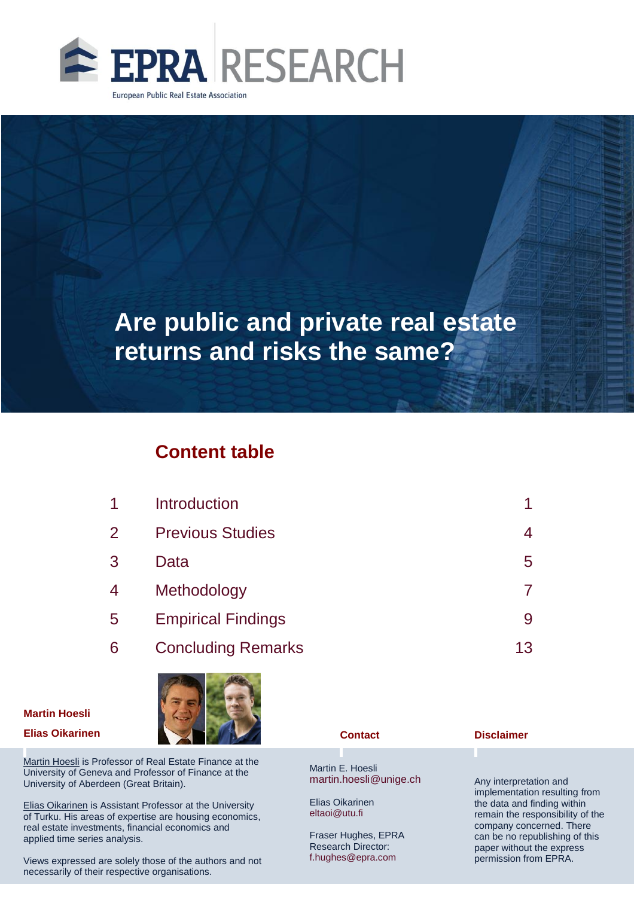

## **Content table**

| 1              | Introduction              |    |
|----------------|---------------------------|----|
| $\overline{2}$ | <b>Previous Studies</b>   | 4  |
| 3              | Data                      | 5  |
| 4              | Methodology               |    |
| 5              | <b>Empirical Findings</b> | 9  |
| 6              | <b>Concluding Remarks</b> | 13 |
|                |                           |    |

# **Martin Hoesli**



Martin Hoesli is Professor of Real Estate Finance at the University of Geneva and Professor of Finance at the University of Aberdeen (Great Britain).

Elias Oikarinen is Assistant Professor at the University of Turku. His areas of expertise are housing economics, real estate investments, financial economics and applied time series analysis.

Views expressed are solely those of the authors and not necessarily of their respective organisations.

Martin E. Hoesli [martin.hoesli@unige.ch](mailto:martin.hoesli@unige.ch)

Elias Oikarinen eltaoi@utu.fi

Fraser Hughes, EPRA Research Director: f.hughes@epra.com

#### **Disclaimer**

Any interpretation and implementation resulting from the data and finding within remain the responsibility of the company concerned. There can be no republishing of this paper without the express permission from EPRA.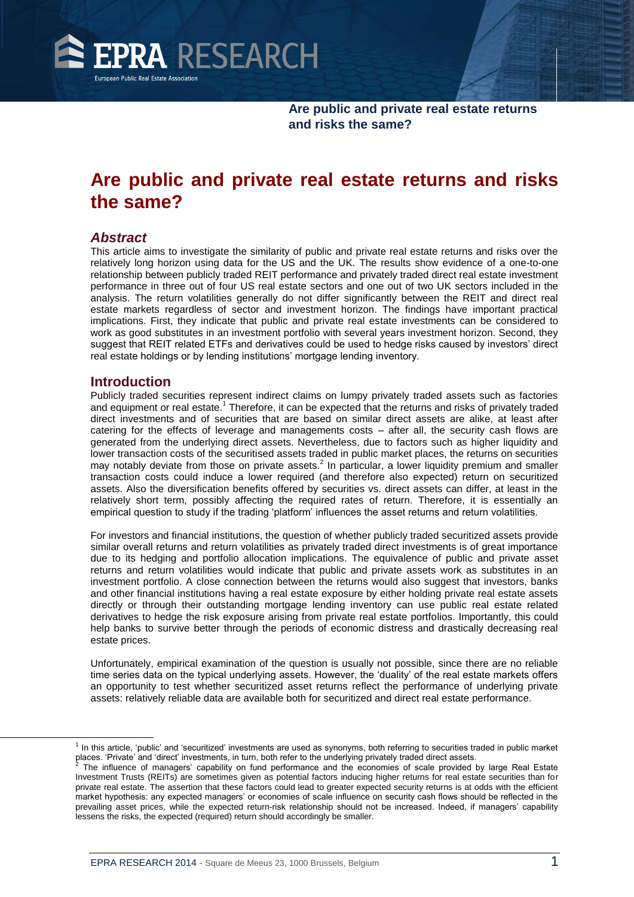

## **Are public and private real estate returns and risks the same?**

#### *Abstract*

This article aims to investigate the similarity of public and private real estate returns and risks over the relatively long horizon using data for the US and the UK. The results show evidence of a one-to-one relationship between publicly traded REIT performance and privately traded direct real estate investment performance in three out of four US real estate sectors and one out of two UK sectors included in the analysis. The return volatilities generally do not differ significantly between the REIT and direct real estate markets regardless of sector and investment horizon. The findings have important practical implications. First, they indicate that public and private real estate investments can be considered to work as good substitutes in an investment portfolio with several years investment horizon. Second, they suggest that REIT related ETFs and derivatives could be used to hedge risks caused by investors' direct real estate holdings or by lending institutions' mortgage lending inventory.

#### **Introduction**

 $\overline{a}$ 

Publicly traded securities represent indirect claims on lumpy privately traded assets such as factories and equipment or real estate.<sup>1</sup> Therefore, it can be expected that the returns and risks of privately traded direct investments and of securities that are based on similar direct assets are alike, at least after catering for the effects of leverage and managements costs – after all, the security cash flows are generated from the underlying direct assets. Nevertheless, due to factors such as higher liquidity and lower transaction costs of the securitised assets traded in public market places, the returns on securities may notably deviate from those on private assets.<sup>2</sup> In particular, a lower liquidity premium and smaller transaction costs could induce a lower required (and therefore also expected) return on securitized assets. Also the diversification benefits offered by securities vs. direct assets can differ, at least in the relatively short term, possibly affecting the required rates of return. Therefore, it is essentially an empirical question to study if the trading 'platform' influences the asset returns and return volatilities.

For investors and financial institutions, the question of whether publicly traded securitized assets provide similar overall returns and return volatilities as privately traded direct investments is of great importance due to its hedging and portfolio allocation implications. The equivalence of public and private asset returns and return volatilities would indicate that public and private assets work as substitutes in an investment portfolio. A close connection between the returns would also suggest that investors, banks and other financial institutions having a real estate exposure by either holding private real estate assets directly or through their outstanding mortgage lending inventory can use public real estate related derivatives to hedge the risk exposure arising from private real estate portfolios. Importantly, this could help banks to survive better through the periods of economic distress and drastically decreasing real estate prices.

Unfortunately, empirical examination of the question is usually not possible, since there are no reliable time series data on the typical underlying assets. However, the 'duality' of the real estate markets offers an opportunity to test whether securitized asset returns reflect the performance of underlying private assets: relatively reliable data are available both for securitized and direct real estate performance.

<sup>&</sup>lt;sup>1</sup> In this article, 'public' and 'securitized' investments are used as synonyms, both referring to securities traded in public market places. 'Private' and 'direct' investments, in turn, both refer to the underlying privately traded direct assets.

<sup>2</sup> The influence of managers' capability on fund performance and the economies of scale provided by large Real Estate Investment Trusts (REITs) are sometimes given as potential factors inducing higher returns for real estate securities than for private real estate. The assertion that these factors could lead to greater expected security returns is at odds with the efficient market hypothesis: any expected managers' or economies of scale influence on security cash flows should be reflected in the prevailing asset prices, while the expected return-risk relationship should not be increased. Indeed, if managers' capability lessens the risks, the expected (required) return should accordingly be smaller.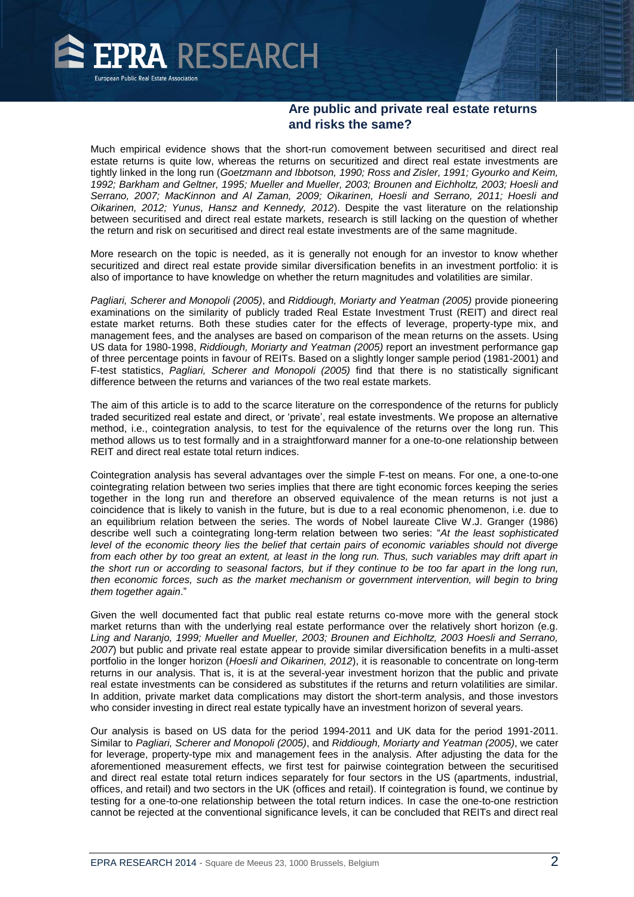

Much empirical evidence shows that the short-run comovement between securitised and direct real estate returns is quite low, whereas the returns on securitized and direct real estate investments are tightly linked in the long run (*Goetzmann and Ibbotson, 1990; Ross and Zisler, 1991; Gyourko and Keim, 1992; Barkham and Geltner, 1995; Mueller and Mueller, 2003; Brounen and Eichholtz, 2003; Hoesli and Serrano, 2007; MacKinnon and Al Zaman, 2009; Oikarinen, Hoesli and Serrano, 2011; Hoesli and Oikarinen, 2012; Yunus, Hansz and Kennedy, 2012*). Despite the vast literature on the relationship between securitised and direct real estate markets, research is still lacking on the question of whether the return and risk on securitised and direct real estate investments are of the same magnitude.

More research on the topic is needed, as it is generally not enough for an investor to know whether securitized and direct real estate provide similar diversification benefits in an investment portfolio: it is also of importance to have knowledge on whether the return magnitudes and volatilities are similar.

*Pagliari, Scherer and Monopoli (2005)*, and *Riddiough, Moriarty and Yeatman (2005)* provide pioneering examinations on the similarity of publicly traded Real Estate Investment Trust (REIT) and direct real estate market returns. Both these studies cater for the effects of leverage, property-type mix, and management fees, and the analyses are based on comparison of the mean returns on the assets. Using US data for 1980-1998, *Riddiough, Moriarty and Yeatman (2005)* report an investment performance gap of three percentage points in favour of REITs. Based on a slightly longer sample period (1981-2001) and F-test statistics, *Pagliari, Scherer and Monopoli (2005)* find that there is no statistically significant difference between the returns and variances of the two real estate markets.

The aim of this article is to add to the scarce literature on the correspondence of the returns for publicly traded securitized real estate and direct, or 'private', real estate investments. We propose an alternative method, i.e., cointegration analysis, to test for the equivalence of the returns over the long run. This method allows us to test formally and in a straightforward manner for a one-to-one relationship between REIT and direct real estate total return indices.

Cointegration analysis has several advantages over the simple F-test on means. For one, a one-to-one cointegrating relation between two series implies that there are tight economic forces keeping the series together in the long run and therefore an observed equivalence of the mean returns is not just a coincidence that is likely to vanish in the future, but is due to a real economic phenomenon, i.e. due to an equilibrium relation between the series. The words of Nobel laureate Clive W.J. Granger (1986) describe well such a cointegrating long-term relation between two series: "*At the least sophisticated level of the economic theory lies the belief that certain pairs of economic variables should not diverge from each other by too great an extent, at least in the long run. Thus, such variables may drift apart in the short run or according to seasonal factors, but if they continue to be too far apart in the long run, then economic forces, such as the market mechanism or government intervention, will begin to bring them together again*."

Given the well documented fact that public real estate returns co-move more with the general stock market returns than with the underlying real estate performance over the relatively short horizon (e.g. *Ling and Naranjo, 1999; Mueller and Mueller, 2003; Brounen and Eichholtz, 2003 Hoesli and Serrano, 2007*) but public and private real estate appear to provide similar diversification benefits in a multi-asset portfolio in the longer horizon (*Hoesli and Oikarinen, 2012*), it is reasonable to concentrate on long-term returns in our analysis. That is, it is at the several-year investment horizon that the public and private real estate investments can be considered as substitutes if the returns and return volatilities are similar. In addition, private market data complications may distort the short-term analysis, and those investors who consider investing in direct real estate typically have an investment horizon of several years.

Our analysis is based on US data for the period 1994-2011 and UK data for the period 1991-2011. Similar to *Pagliari, Scherer and Monopoli (2005)*, and *Riddiough, Moriarty and Yeatman (2005)*, we cater for leverage, property-type mix and management fees in the analysis. After adjusting the data for the aforementioned measurement effects, we first test for pairwise cointegration between the securitised and direct real estate total return indices separately for four sectors in the US (apartments, industrial, offices, and retail) and two sectors in the UK (offices and retail). If cointegration is found, we continue by testing for a one-to-one relationship between the total return indices. In case the one-to-one restriction cannot be rejected at the conventional significance levels, it can be concluded that REITs and direct real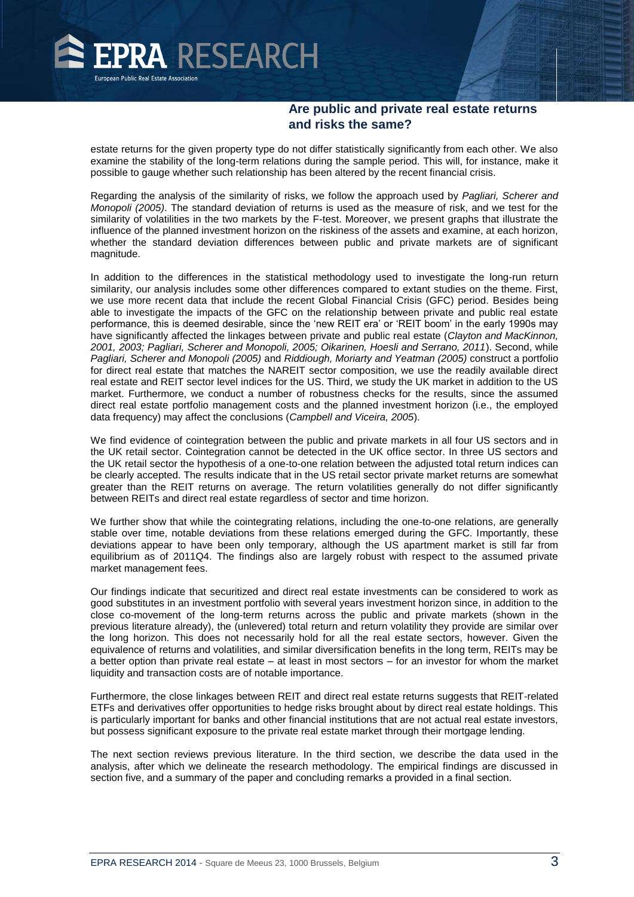

estate returns for the given property type do not differ statistically significantly from each other. We also examine the stability of the long-term relations during the sample period. This will, for instance, make it possible to gauge whether such relationship has been altered by the recent financial crisis.

Regarding the analysis of the similarity of risks, we follow the approach used by *Pagliari, Scherer and Monopoli (2005)*. The standard deviation of returns is used as the measure of risk, and we test for the similarity of volatilities in the two markets by the F-test. Moreover, we present graphs that illustrate the influence of the planned investment horizon on the riskiness of the assets and examine, at each horizon, whether the standard deviation differences between public and private markets are of significant magnitude.

In addition to the differences in the statistical methodology used to investigate the long-run return similarity, our analysis includes some other differences compared to extant studies on the theme. First, we use more recent data that include the recent Global Financial Crisis (GFC) period. Besides being able to investigate the impacts of the GFC on the relationship between private and public real estate performance, this is deemed desirable, since the 'new REIT era' or 'REIT boom' in the early 1990s may have significantly affected the linkages between private and public real estate (*Clayton and MacKinnon, 2001, 2003; Pagliari, Scherer and Monopoli, 2005; Oikarinen, Hoesli and Serrano, 2011*). Second, while *Pagliari, Scherer and Monopoli (2005)* and *Riddiough, Moriarty and Yeatman (2005)* construct a portfolio for direct real estate that matches the NAREIT sector composition, we use the readily available direct real estate and REIT sector level indices for the US. Third, we study the UK market in addition to the US market. Furthermore, we conduct a number of robustness checks for the results, since the assumed direct real estate portfolio management costs and the planned investment horizon (i.e., the employed data frequency) may affect the conclusions (*Campbell and Viceira, 2005*).

We find evidence of cointegration between the public and private markets in all four US sectors and in the UK retail sector. Cointegration cannot be detected in the UK office sector. In three US sectors and the UK retail sector the hypothesis of a one-to-one relation between the adjusted total return indices can be clearly accepted. The results indicate that in the US retail sector private market returns are somewhat greater than the REIT returns on average. The return volatilities generally do not differ significantly between REITs and direct real estate regardless of sector and time horizon.

We further show that while the cointegrating relations, including the one-to-one relations, are generally stable over time, notable deviations from these relations emerged during the GFC. Importantly, these deviations appear to have been only temporary, although the US apartment market is still far from equilibrium as of 2011Q4. The findings also are largely robust with respect to the assumed private market management fees.

Our findings indicate that securitized and direct real estate investments can be considered to work as good substitutes in an investment portfolio with several years investment horizon since, in addition to the close co-movement of the long-term returns across the public and private markets (shown in the previous literature already), the (unlevered) total return and return volatility they provide are similar over the long horizon. This does not necessarily hold for all the real estate sectors, however. Given the equivalence of returns and volatilities, and similar diversification benefits in the long term, REITs may be a better option than private real estate – at least in most sectors – for an investor for whom the market liquidity and transaction costs are of notable importance.

Furthermore, the close linkages between REIT and direct real estate returns suggests that REIT-related ETFs and derivatives offer opportunities to hedge risks brought about by direct real estate holdings. This is particularly important for banks and other financial institutions that are not actual real estate investors, but possess significant exposure to the private real estate market through their mortgage lending.

The next section reviews previous literature. In the third section, we describe the data used in the analysis, after which we delineate the research methodology. The empirical findings are discussed in section five, and a summary of the paper and concluding remarks a provided in a final section.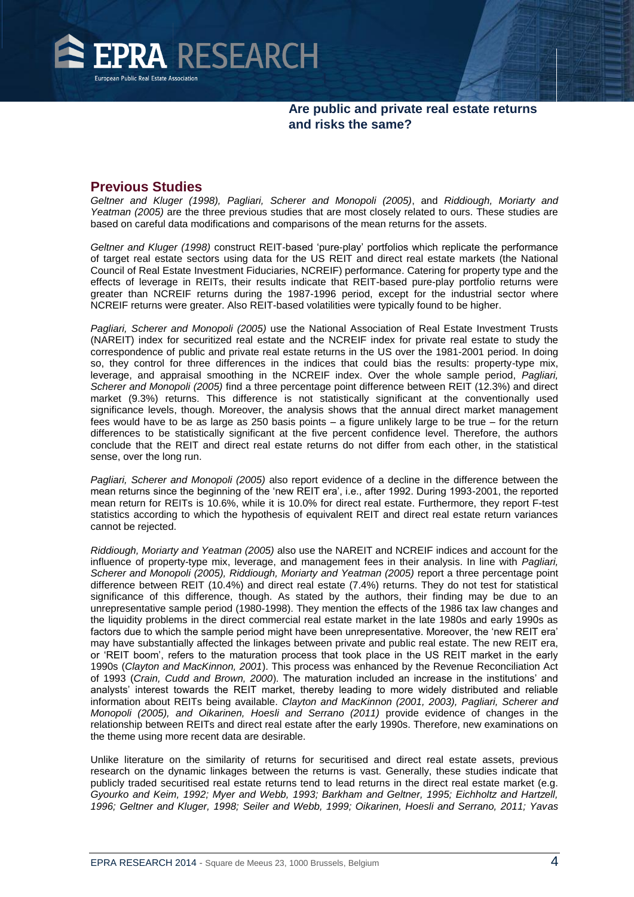

#### **Previous Studies**

*Geltner and Kluger (1998), Pagliari, Scherer and Monopoli (2005)*, and *Riddiough, Moriarty and Yeatman (2005)* are the three previous studies that are most closely related to ours. These studies are based on careful data modifications and comparisons of the mean returns for the assets.

*Geltner and Kluger (1998)* construct REIT-based 'pure-play' portfolios which replicate the performance of target real estate sectors using data for the US REIT and direct real estate markets (the National Council of Real Estate Investment Fiduciaries, NCREIF) performance. Catering for property type and the effects of leverage in REITs, their results indicate that REIT-based pure-play portfolio returns were greater than NCREIF returns during the 1987-1996 period, except for the industrial sector where NCREIF returns were greater. Also REIT-based volatilities were typically found to be higher.

*Pagliari, Scherer and Monopoli (2005)* use the National Association of Real Estate Investment Trusts (NAREIT) index for securitized real estate and the NCREIF index for private real estate to study the correspondence of public and private real estate returns in the US over the 1981-2001 period. In doing so, they control for three differences in the indices that could bias the results: property-type mix, leverage, and appraisal smoothing in the NCREIF index. Over the whole sample period, *Pagliari, Scherer and Monopoli (2005)* find a three percentage point difference between REIT (12.3%) and direct market (9.3%) returns. This difference is not statistically significant at the conventionally used significance levels, though. Moreover, the analysis shows that the annual direct market management fees would have to be as large as 250 basis points – a figure unlikely large to be true – for the return differences to be statistically significant at the five percent confidence level. Therefore, the authors conclude that the REIT and direct real estate returns do not differ from each other, in the statistical sense, over the long run.

*Pagliari, Scherer and Monopoli (2005)* also report evidence of a decline in the difference between the mean returns since the beginning of the 'new REIT era', i.e., after 1992. During 1993-2001, the reported mean return for REITs is 10.6%, while it is 10.0% for direct real estate. Furthermore, they report F-test statistics according to which the hypothesis of equivalent REIT and direct real estate return variances cannot be rejected.

*Riddiough, Moriarty and Yeatman (2005)* also use the NAREIT and NCREIF indices and account for the influence of property-type mix, leverage, and management fees in their analysis. In line with *Pagliari, Scherer and Monopoli (2005), Riddiough, Moriarty and Yeatman (2005)* report a three percentage point difference between REIT (10.4%) and direct real estate (7.4%) returns. They do not test for statistical significance of this difference, though. As stated by the authors, their finding may be due to an unrepresentative sample period (1980-1998). They mention the effects of the 1986 tax law changes and the liquidity problems in the direct commercial real estate market in the late 1980s and early 1990s as factors due to which the sample period might have been unrepresentative. Moreover, the 'new REIT era' may have substantially affected the linkages between private and public real estate. The new REIT era, or 'REIT boom', refers to the maturation process that took place in the US REIT market in the early 1990s (*Clayton and MacKinnon, 2001*). This process was enhanced by the Revenue Reconciliation Act of 1993 (*Crain, Cudd and Brown, 2000*). The maturation included an increase in the institutions' and analysts' interest towards the REIT market, thereby leading to more widely distributed and reliable information about REITs being available. *Clayton and MacKinnon (2001, 2003), Pagliari, Scherer and Monopoli (2005), and Oikarinen, Hoesli and Serrano (2011)* provide evidence of changes in the relationship between REITs and direct real estate after the early 1990s. Therefore, new examinations on the theme using more recent data are desirable.

Unlike literature on the similarity of returns for securitised and direct real estate assets, previous research on the dynamic linkages between the returns is vast. Generally, these studies indicate that publicly traded securitised real estate returns tend to lead returns in the direct real estate market (e.g. *Gyourko and Keim, 1992; Myer and Webb, 1993; Barkham and Geltner, 1995; Eichholtz and Hartzell, 1996; Geltner and Kluger, 1998; Seiler and Webb, 1999; Oikarinen, Hoesli and Serrano, 2011; Yavas*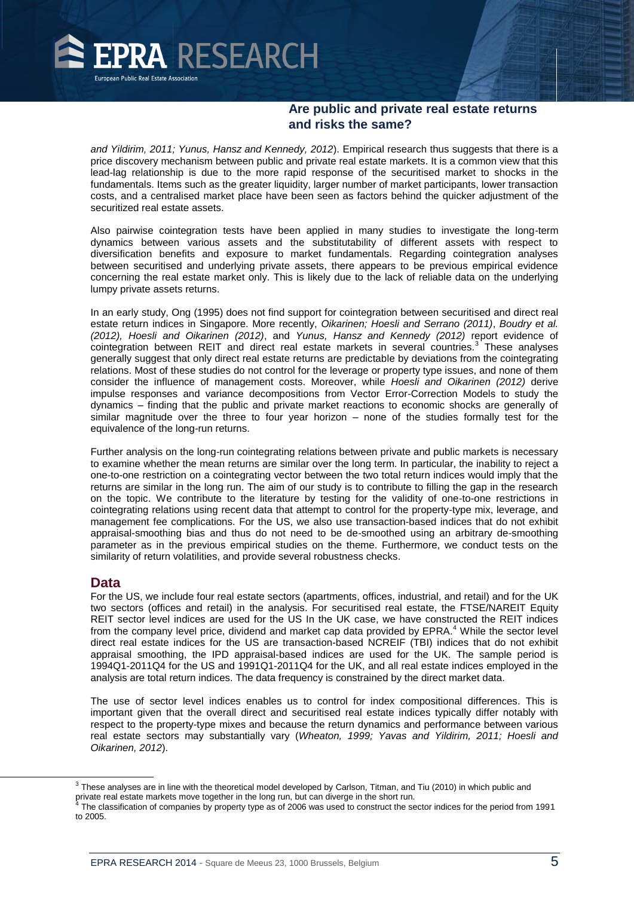

*and Yildirim, 2011; Yunus, Hansz and Kennedy, 2012*). Empirical research thus suggests that there is a price discovery mechanism between public and private real estate markets. It is a common view that this lead-lag relationship is due to the more rapid response of the securitised market to shocks in the fundamentals. Items such as the greater liquidity, larger number of market participants, lower transaction costs, and a centralised market place have been seen as factors behind the quicker adjustment of the securitized real estate assets.

Also pairwise cointegration tests have been applied in many studies to investigate the long-term dynamics between various assets and the substitutability of different assets with respect to diversification benefits and exposure to market fundamentals. Regarding cointegration analyses between securitised and underlying private assets, there appears to be previous empirical evidence concerning the real estate market only. This is likely due to the lack of reliable data on the underlying lumpy private assets returns.

In an early study, Ong (1995) does not find support for cointegration between securitised and direct real estate return indices in Singapore. More recently, *Oikarinen; Hoesli and Serrano (2011)*, *Boudry et al. (2012), Hoesli and Oikarinen (2012)*, and *Yunus, Hansz and Kennedy (2012)* report evidence of cointegration between REIT and direct real estate markets in several countries.<sup>3</sup> These analyses generally suggest that only direct real estate returns are predictable by deviations from the cointegrating relations. Most of these studies do not control for the leverage or property type issues, and none of them consider the influence of management costs. Moreover, while *Hoesli and Oikarinen (2012)* derive impulse responses and variance decompositions from Vector Error-Correction Models to study the dynamics – finding that the public and private market reactions to economic shocks are generally of similar magnitude over the three to four year horizon – none of the studies formally test for the equivalence of the long-run returns.

Further analysis on the long-run cointegrating relations between private and public markets is necessary to examine whether the mean returns are similar over the long term. In particular, the inability to reject a one-to-one restriction on a cointegrating vector between the two total return indices would imply that the returns are similar in the long run. The aim of our study is to contribute to filling the gap in the research on the topic. We contribute to the literature by testing for the validity of one-to-one restrictions in cointegrating relations using recent data that attempt to control for the property-type mix, leverage, and management fee complications. For the US, we also use transaction-based indices that do not exhibit appraisal-smoothing bias and thus do not need to be de-smoothed using an arbitrary de-smoothing parameter as in the previous empirical studies on the theme. Furthermore, we conduct tests on the similarity of return volatilities, and provide several robustness checks.

#### **Data**

 $\overline{a}$ 

For the US, we include four real estate sectors (apartments, offices, industrial, and retail) and for the UK two sectors (offices and retail) in the analysis. For securitised real estate, the FTSE/NAREIT Equity REIT sector level indices are used for the US In the UK case, we have constructed the REIT indices from the company level price, dividend and market cap data provided by EPRA.<sup>4</sup> While the sector level direct real estate indices for the US are transaction-based NCREIF (TBI) indices that do not exhibit appraisal smoothing, the IPD appraisal-based indices are used for the UK. The sample period is 1994Q1-2011Q4 for the US and 1991Q1-2011Q4 for the UK, and all real estate indices employed in the analysis are total return indices. The data frequency is constrained by the direct market data.

The use of sector level indices enables us to control for index compositional differences. This is important given that the overall direct and securitised real estate indices typically differ notably with respect to the property-type mixes and because the return dynamics and performance between various real estate sectors may substantially vary (*Wheaton, 1999; Yavas and Yildirim, 2011; Hoesli and Oikarinen, 2012*).

 $3$  These analyses are in line with the theoretical model developed by Carlson, Titman, and Tiu (2010) in which public and private real estate markets move together in the long run, but can diverge in the short run.<br><sup>4</sup> The eleccification of companies by preparty time as of 2006 was used to construct the or

The classification of companies by property type as of 2006 was used to construct the sector indices for the period from 1991 to 2005.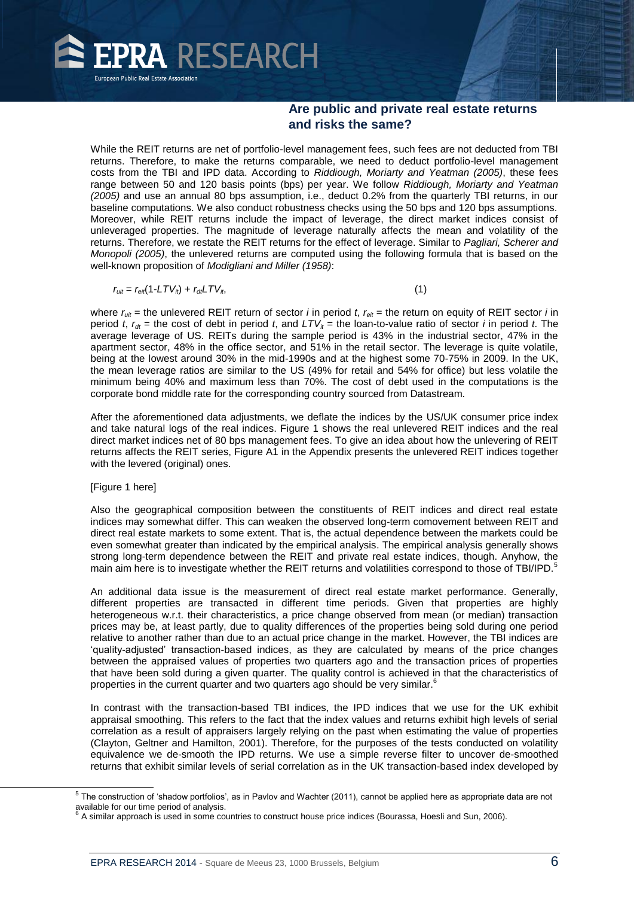

While the REIT returns are net of portfolio-level management fees, such fees are not deducted from TBI returns. Therefore, to make the returns comparable, we need to deduct portfolio-level management costs from the TBI and IPD data. According to *Riddiough, Moriarty and Yeatman (2005)*, these fees range between 50 and 120 basis points (bps) per year. We follow *Riddiough, Moriarty and Yeatman (2005)* and use an annual 80 bps assumption, i.e., deduct 0.2% from the quarterly TBI returns, in our baseline computations. We also conduct robustness checks using the 50 bps and 120 bps assumptions. Moreover, while REIT returns include the impact of leverage, the direct market indices consist of unleveraged properties. The magnitude of leverage naturally affects the mean and volatility of the returns. Therefore, we restate the REIT returns for the effect of leverage. Similar to *Pagliari, Scherer and Monopoli (2005)*, the unlevered returns are computed using the following formula that is based on the well-known proposition of *Modigliani and Miller (1958)*:

$$
r_{uit} = r_{eit}(1-LTV_{it}) + r_{dt}LTV_{it},
$$
\n<sup>(1)</sup>

where  $r_{uit}$  = the unlevered REIT return of sector *i* in period *t*,  $r_{eit}$  = the return on equity of REIT sector *i* in period *t*,  $r_{dt}$  = the cost of debt in period *t*, and  $LTV_t$  = the loan-to-value ratio of sector *i* in period *t*. The average leverage of US. REITs during the sample period is 43% in the industrial sector, 47% in the apartment sector, 48% in the office sector, and 51% in the retail sector. The leverage is quite volatile, being at the lowest around 30% in the mid-1990s and at the highest some 70-75% in 2009. In the UK, the mean leverage ratios are similar to the US (49% for retail and 54% for office) but less volatile the minimum being 40% and maximum less than 70%. The cost of debt used in the computations is the corporate bond middle rate for the corresponding country sourced from Datastream.

After the aforementioned data adjustments, we deflate the indices by the US/UK consumer price index and take natural logs of the real indices. Figure 1 shows the real unlevered REIT indices and the real direct market indices net of 80 bps management fees. To give an idea about how the unlevering of REIT returns affects the REIT series, Figure A1 in the Appendix presents the unlevered REIT indices together with the levered (original) ones.

#### [Figure 1 here]

l

Also the geographical composition between the constituents of REIT indices and direct real estate indices may somewhat differ. This can weaken the observed long-term comovement between REIT and direct real estate markets to some extent. That is, the actual dependence between the markets could be even somewhat greater than indicated by the empirical analysis. The empirical analysis generally shows strong long-term dependence between the REIT and private real estate indices, though. Anyhow, the main aim here is to investigate whether the REIT returns and volatilities correspond to those of TBI/IPD.<sup>5</sup>

An additional data issue is the measurement of direct real estate market performance. Generally, different properties are transacted in different time periods. Given that properties are highly heterogeneous w.r.t. their characteristics, a price change observed from mean (or median) transaction prices may be, at least partly, due to quality differences of the properties being sold during one period relative to another rather than due to an actual price change in the market. However, the TBI indices are 'quality-adjusted' transaction-based indices, as they are calculated by means of the price changes between the appraised values of properties two quarters ago and the transaction prices of properties that have been sold during a given quarter. The quality control is achieved in that the characteristics of properties in the current quarter and two quarters ago should be very similar.<sup>6</sup>

In contrast with the transaction-based TBI indices, the IPD indices that we use for the UK exhibit appraisal smoothing. This refers to the fact that the index values and returns exhibit high levels of serial correlation as a result of appraisers largely relying on the past when estimating the value of properties (Clayton, Geltner and Hamilton, 2001). Therefore, for the purposes of the tests conducted on volatility equivalence we de-smooth the IPD returns. We use a simple reverse filter to uncover de-smoothed returns that exhibit similar levels of serial correlation as in the UK transaction-based index developed by

 $^5$  The construction of 'shadow portfolios', as in Pavlov and Wachter (2011), cannot be applied here as appropriate data are not

available for our time period of analysis.<br><sup>6</sup> A similar approach is used in some countries to construct house price indices (Bourassa, Hoesli and Sun, 2006).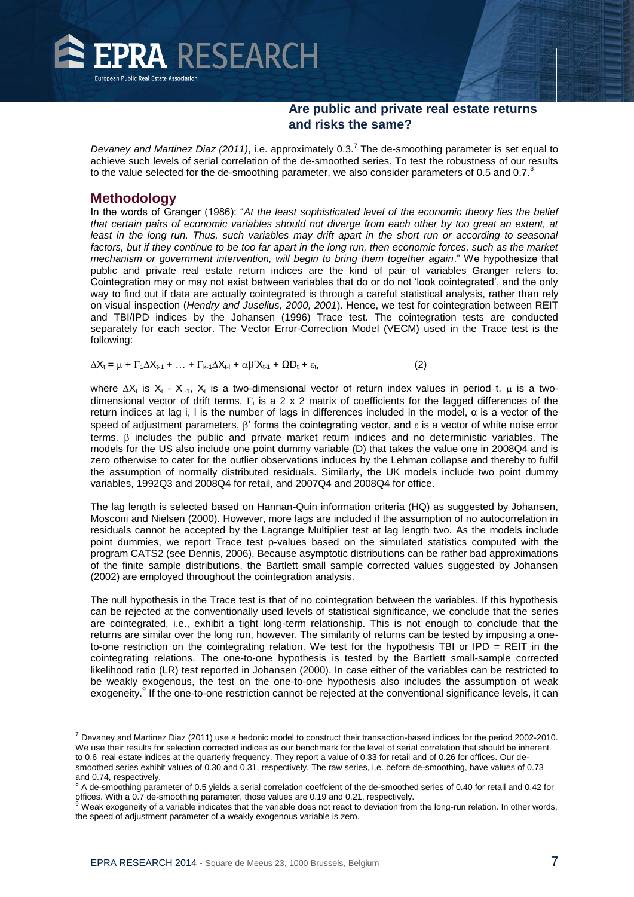

Devaney and Martinez Diaz (2011), i.e. approximately 0.3.<sup>7</sup> The de-smoothing parameter is set equal to achieve such levels of serial correlation of the de-smoothed series. To test the robustness of our results to the value selected for the de-smoothing parameter, we also consider parameters of 0.5 and 0.7. $8$ 

#### **Methodology**

 $\overline{a}$ 

In the words of Granger (1986): "*At the least sophisticated level of the economic theory lies the belief that certain pairs of economic variables should not diverge from each other by too great an extent, at*  least in the long run. Thus, such variables may drift apart in the short run or according to seasonal factors, but if they continue to be too far apart in the long run, then economic forces, such as the market *mechanism or government intervention, will begin to bring them together again*." We hypothesize that public and private real estate return indices are the kind of pair of variables Granger refers to. Cointegration may or may not exist between variables that do or do not 'look cointegrated', and the only way to find out if data are actually cointegrated is through a careful statistical analysis, rather than rely on visual inspection (*Hendry and Juselius, 2000, 2001*). Hence, we test for cointegration between REIT and TBI/IPD indices by the Johansen (1996) Trace test. The cointegration tests are conducted separately for each sector. The Vector Error-Correction Model (VECM) used in the Trace test is the following:

 $\Delta X_t = \mu + \Gamma_1 \Delta X_{t-1} + ... + \Gamma_{k-1} \Delta X_{t-1} + \alpha \beta' X_{t-1} + \Omega D_t + \varepsilon_t,$  $(2)$ 

where  $\Delta X_t$  is  $X_t$  -  $X_{t-1}$ ,  $X_t$  is a two-dimensional vector of return index values in period t,  $\mu$  is a twodimensional vector of drift terms,  $\Gamma_i$  is a 2 x 2 matrix of coefficients for the lagged differences of the return indices at lag i, I is the number of lags in differences included in the model,  $\alpha$  is a vector of the speed of adjustment parameters,  $\beta'$  forms the cointegrating vector, and  $\epsilon$  is a vector of white noise error terms.  $\beta$  includes the public and private market return indices and no deterministic variables. The models for the US also include one point dummy variable (D) that takes the value one in 2008Q4 and is zero otherwise to cater for the outlier observations induces by the Lehman collapse and thereby to fulfil the assumption of normally distributed residuals. Similarly, the UK models include two point dummy variables, 1992Q3 and 2008Q4 for retail, and 2007Q4 and 2008Q4 for office.

The lag length is selected based on Hannan-Quin information criteria (HQ) as suggested by Johansen, Mosconi and Nielsen (2000). However, more lags are included if the assumption of no autocorrelation in residuals cannot be accepted by the Lagrange Multiplier test at lag length two. As the models include point dummies, we report Trace test p-values based on the simulated statistics computed with the program CATS2 (see Dennis, 2006). Because asymptotic distributions can be rather bad approximations of the finite sample distributions, the Bartlett small sample corrected values suggested by Johansen (2002) are employed throughout the cointegration analysis.

The null hypothesis in the Trace test is that of no cointegration between the variables. If this hypothesis can be rejected at the conventionally used levels of statistical significance, we conclude that the series are cointegrated, i.e., exhibit a tight long-term relationship. This is not enough to conclude that the returns are similar over the long run, however. The similarity of returns can be tested by imposing a oneto-one restriction on the cointegrating relation. We test for the hypothesis TBI or  $IPD = REIT$  in the cointegrating relations. The one-to-one hypothesis is tested by the Bartlett small-sample corrected likelihood ratio (LR) test reported in Johansen (2000). In case either of the variables can be restricted to be weakly exogenous, the test on the one-to-one hypothesis also includes the assumption of weak exogeneity.<sup>9</sup> If the one-to-one restriction cannot be rejected at the conventional significance levels, it can

 $^7$  Devaney and Martinez Diaz (2011) use a hedonic model to construct their transaction-based indices for the period 2002-2010. We use their results for selection corrected indices as our benchmark for the level of serial correlation that should be inherent to 0.6 real estate indices at the quarterly frequency. They report a value of 0.33 for retail and of 0.26 for offices. Our desmoothed series exhibit values of 0.30 and 0.31, respectively. The raw series, i.e. before de-smoothing, have values of 0.73 and 0.74, respectively.

 $\frac{8}{6}$  A de-smoothing parameter of 0.5 yields a serial correlation coeffcient of the de-smoothed series of 0.40 for retail and 0.42 for offices. With a 0.7 de-smoothing parameter, those values are 0.19 and 0.21, respectively.

<sup>9</sup> Weak exogeneity of a variable indicates that the variable does not react to deviation from the long-run relation. In other words, the speed of adjustment parameter of a weakly exogenous variable is zero.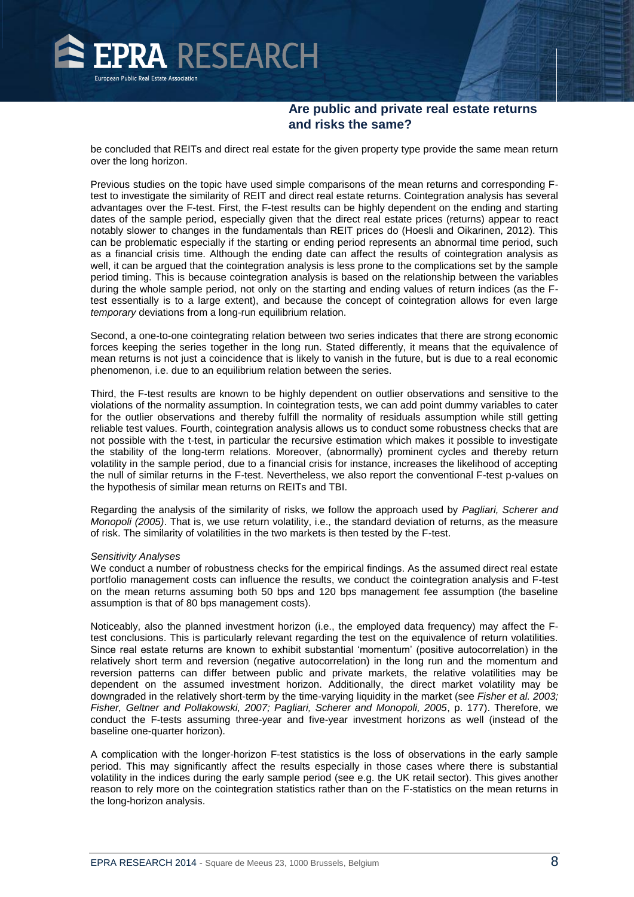

be concluded that REITs and direct real estate for the given property type provide the same mean return over the long horizon.

Previous studies on the topic have used simple comparisons of the mean returns and corresponding Ftest to investigate the similarity of REIT and direct real estate returns. Cointegration analysis has several advantages over the F-test. First, the F-test results can be highly dependent on the ending and starting dates of the sample period, especially given that the direct real estate prices (returns) appear to react notably slower to changes in the fundamentals than REIT prices do (Hoesli and Oikarinen, 2012). This can be problematic especially if the starting or ending period represents an abnormal time period, such as a financial crisis time. Although the ending date can affect the results of cointegration analysis as well, it can be argued that the cointegration analysis is less prone to the complications set by the sample period timing. This is because cointegration analysis is based on the relationship between the variables during the whole sample period, not only on the starting and ending values of return indices (as the Ftest essentially is to a large extent), and because the concept of cointegration allows for even large *temporary* deviations from a long-run equilibrium relation.

Second, a one-to-one cointegrating relation between two series indicates that there are strong economic forces keeping the series together in the long run. Stated differently, it means that the equivalence of mean returns is not just a coincidence that is likely to vanish in the future, but is due to a real economic phenomenon, i.e. due to an equilibrium relation between the series.

Third, the F-test results are known to be highly dependent on outlier observations and sensitive to the violations of the normality assumption. In cointegration tests, we can add point dummy variables to cater for the outlier observations and thereby fulfill the normality of residuals assumption while still getting reliable test values. Fourth, cointegration analysis allows us to conduct some robustness checks that are not possible with the t-test, in particular the recursive estimation which makes it possible to investigate the stability of the long-term relations. Moreover, (abnormally) prominent cycles and thereby return volatility in the sample period, due to a financial crisis for instance, increases the likelihood of accepting the null of similar returns in the F-test. Nevertheless, we also report the conventional F-test p-values on the hypothesis of similar mean returns on REITs and TBI.

Regarding the analysis of the similarity of risks, we follow the approach used by *Pagliari, Scherer and Monopoli (2005)*. That is, we use return volatility, i.e., the standard deviation of returns, as the measure of risk. The similarity of volatilities in the two markets is then tested by the F-test.

#### *Sensitivity Analyses*

We conduct a number of robustness checks for the empirical findings. As the assumed direct real estate portfolio management costs can influence the results, we conduct the cointegration analysis and F-test on the mean returns assuming both 50 bps and 120 bps management fee assumption (the baseline assumption is that of 80 bps management costs).

Noticeably, also the planned investment horizon (i.e., the employed data frequency) may affect the Ftest conclusions. This is particularly relevant regarding the test on the equivalence of return volatilities. Since real estate returns are known to exhibit substantial 'momentum' (positive autocorrelation) in the relatively short term and reversion (negative autocorrelation) in the long run and the momentum and reversion patterns can differ between public and private markets, the relative volatilities may be dependent on the assumed investment horizon. Additionally, the direct market volatility may be downgraded in the relatively short-term by the time-varying liquidity in the market (see *Fisher et al. 2003; Fisher, Geltner and Pollakowski, 2007; Pagliari, Scherer and Monopoli, 2005*, p. 177). Therefore, we conduct the F-tests assuming three-year and five-year investment horizons as well (instead of the baseline one-quarter horizon).

A complication with the longer-horizon F-test statistics is the loss of observations in the early sample period. This may significantly affect the results especially in those cases where there is substantial volatility in the indices during the early sample period (see e.g. the UK retail sector). This gives another reason to rely more on the cointegration statistics rather than on the F-statistics on the mean returns in the long-horizon analysis.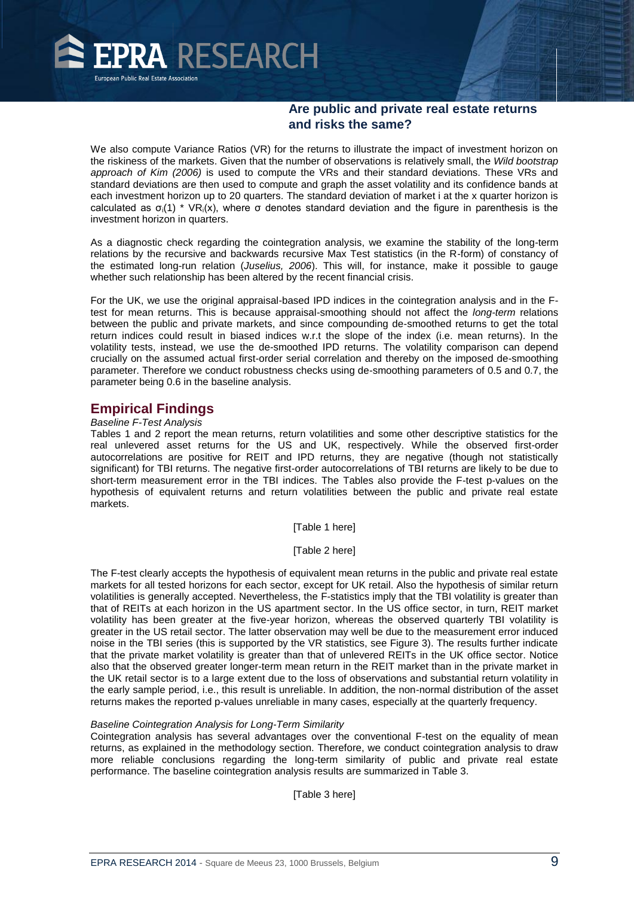

We also compute Variance Ratios (VR) for the returns to illustrate the impact of investment horizon on the riskiness of the markets. Given that the number of observations is relatively small, the *Wild bootstrap approach of Kim (2006)* is used to compute the VRs and their standard deviations. These VRs and standard deviations are then used to compute and graph the asset volatility and its confidence bands at each investment horizon up to 20 quarters. The standard deviation of market i at the x quarter horizon is calculated as  $\sigma_i(1)$  \* VR<sub>i</sub>(x), where  $\sigma$  denotes standard deviation and the figure in parenthesis is the investment horizon in quarters.

As a diagnostic check regarding the cointegration analysis, we examine the stability of the long-term relations by the recursive and backwards recursive Max Test statistics (in the R-form) of constancy of the estimated long-run relation (*Juselius, 2006*). This will, for instance, make it possible to gauge whether such relationship has been altered by the recent financial crisis.

For the UK, we use the original appraisal-based IPD indices in the cointegration analysis and in the Ftest for mean returns. This is because appraisal-smoothing should not affect the *long-term* relations between the public and private markets, and since compounding de-smoothed returns to get the total return indices could result in biased indices w.r.t the slope of the index (i.e. mean returns). In the volatility tests, instead, we use the de-smoothed IPD returns. The volatility comparison can depend crucially on the assumed actual first-order serial correlation and thereby on the imposed de-smoothing parameter. Therefore we conduct robustness checks using de-smoothing parameters of 0.5 and 0.7, the parameter being 0.6 in the baseline analysis.

### **Empirical Findings**

#### *Baseline F-Test Analysis*

Tables 1 and 2 report the mean returns, return volatilities and some other descriptive statistics for the real unlevered asset returns for the US and UK, respectively. While the observed first-order autocorrelations are positive for REIT and IPD returns, they are negative (though not statistically significant) for TBI returns. The negative first-order autocorrelations of TBI returns are likely to be due to short-term measurement error in the TBI indices. The Tables also provide the F-test p-values on the hypothesis of equivalent returns and return volatilities between the public and private real estate markets.

[Table 1 here]

[Table 2 here]

The F-test clearly accepts the hypothesis of equivalent mean returns in the public and private real estate markets for all tested horizons for each sector, except for UK retail. Also the hypothesis of similar return volatilities is generally accepted. Nevertheless, the F-statistics imply that the TBI volatility is greater than that of REITs at each horizon in the US apartment sector. In the US office sector, in turn, REIT market volatility has been greater at the five-year horizon, whereas the observed quarterly TBI volatility is greater in the US retail sector. The latter observation may well be due to the measurement error induced noise in the TBI series (this is supported by the VR statistics, see Figure 3). The results further indicate that the private market volatility is greater than that of unlevered REITs in the UK office sector. Notice also that the observed greater longer-term mean return in the REIT market than in the private market in the UK retail sector is to a large extent due to the loss of observations and substantial return volatility in the early sample period, i.e., this result is unreliable. In addition, the non-normal distribution of the asset returns makes the reported p-values unreliable in many cases, especially at the quarterly frequency.

#### *Baseline Cointegration Analysis for Long-Term Similarity*

Cointegration analysis has several advantages over the conventional F-test on the equality of mean returns, as explained in the methodology section. Therefore, we conduct cointegration analysis to draw more reliable conclusions regarding the long-term similarity of public and private real estate performance. The baseline cointegration analysis results are summarized in Table 3.

[Table 3 here]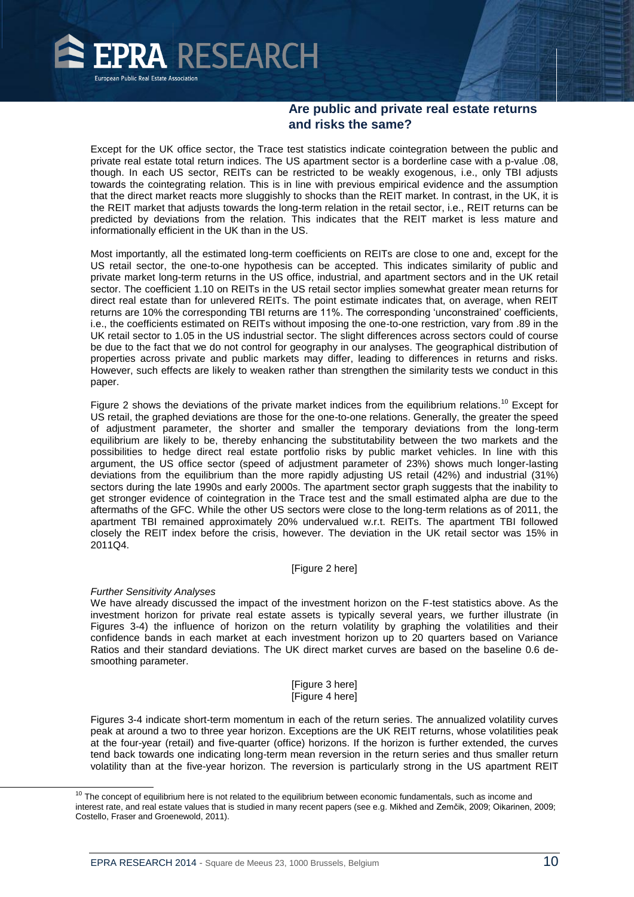

Except for the UK office sector, the Trace test statistics indicate cointegration between the public and private real estate total return indices. The US apartment sector is a borderline case with a p-value .08, though. In each US sector, REITs can be restricted to be weakly exogenous, i.e., only TBI adjusts towards the cointegrating relation. This is in line with previous empirical evidence and the assumption that the direct market reacts more sluggishly to shocks than the REIT market. In contrast, in the UK, it is the REIT market that adjusts towards the long-term relation in the retail sector, i.e., REIT returns can be predicted by deviations from the relation. This indicates that the REIT market is less mature and informationally efficient in the UK than in the US.

Most importantly, all the estimated long-term coefficients on REITs are close to one and, except for the US retail sector, the one-to-one hypothesis can be accepted. This indicates similarity of public and private market long-term returns in the US office, industrial, and apartment sectors and in the UK retail sector. The coefficient 1.10 on REITs in the US retail sector implies somewhat greater mean returns for direct real estate than for unlevered REITs. The point estimate indicates that, on average, when REIT returns are 10% the corresponding TBI returns are 11%. The corresponding 'unconstrained' coefficients, i.e., the coefficients estimated on REITs without imposing the one-to-one restriction, vary from .89 in the UK retail sector to 1.05 in the US industrial sector. The slight differences across sectors could of course be due to the fact that we do not control for geography in our analyses. The geographical distribution of properties across private and public markets may differ, leading to differences in returns and risks. However, such effects are likely to weaken rather than strengthen the similarity tests we conduct in this paper.

Figure 2 shows the deviations of the private market indices from the equilibrium relations.<sup>10</sup> Except for US retail, the graphed deviations are those for the one-to-one relations. Generally, the greater the speed of adjustment parameter, the shorter and smaller the temporary deviations from the long-term equilibrium are likely to be, thereby enhancing the substitutability between the two markets and the possibilities to hedge direct real estate portfolio risks by public market vehicles. In line with this argument, the US office sector (speed of adjustment parameter of 23%) shows much longer-lasting deviations from the equilibrium than the more rapidly adjusting US retail (42%) and industrial (31%) sectors during the late 1990s and early 2000s. The apartment sector graph suggests that the inability to get stronger evidence of cointegration in the Trace test and the small estimated alpha are due to the aftermaths of the GFC. While the other US sectors were close to the long-term relations as of 2011, the apartment TBI remained approximately 20% undervalued w.r.t. REITs. The apartment TBI followed closely the REIT index before the crisis, however. The deviation in the UK retail sector was 15% in 2011Q4.

#### [Figure 2 here]

#### *Further Sensitivity Analyses*

l

We have already discussed the impact of the investment horizon on the F-test statistics above. As the investment horizon for private real estate assets is typically several years, we further illustrate (in Figures 3-4) the influence of horizon on the return volatility by graphing the volatilities and their confidence bands in each market at each investment horizon up to 20 quarters based on Variance Ratios and their standard deviations. The UK direct market curves are based on the baseline 0.6 desmoothing parameter.

> [Figure 3 here] [Figure 4 here]

Figures 3-4 indicate short-term momentum in each of the return series. The annualized volatility curves peak at around a two to three year horizon. Exceptions are the UK REIT returns, whose volatilities peak at the four-year (retail) and five-quarter (office) horizons. If the horizon is further extended, the curves tend back towards one indicating long-term mean reversion in the return series and thus smaller return volatility than at the five-year horizon. The reversion is particularly strong in the US apartment REIT

 $10$  The concept of equilibrium here is not related to the equilibrium between economic fundamentals, such as income and interest rate, and real estate values that is studied in many recent papers (see e.g. Mikhed and Zemčik, 2009; Oikarinen, 2009; Costello, Fraser and Groenewold, 2011).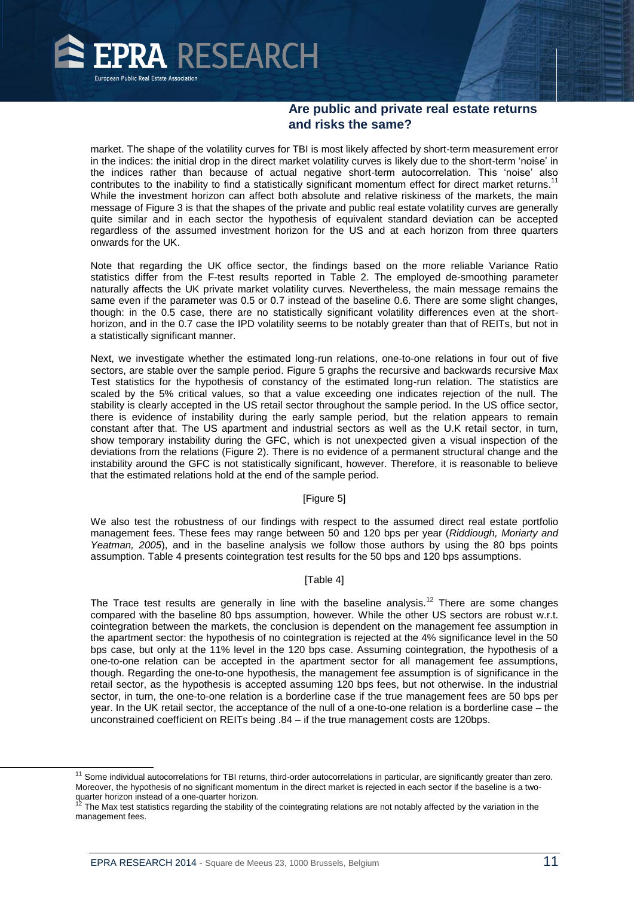

market. The shape of the volatility curves for TBI is most likely affected by short-term measurement error in the indices: the initial drop in the direct market volatility curves is likely due to the short-term 'noise' in the indices rather than because of actual negative short-term autocorrelation. This 'noise' also contributes to the inability to find a statistically significant momentum effect for direct market returns.<sup>11</sup> While the investment horizon can affect both absolute and relative riskiness of the markets, the main message of Figure 3 is that the shapes of the private and public real estate volatility curves are generally quite similar and in each sector the hypothesis of equivalent standard deviation can be accepted regardless of the assumed investment horizon for the US and at each horizon from three quarters onwards for the UK.

Note that regarding the UK office sector, the findings based on the more reliable Variance Ratio statistics differ from the F-test results reported in Table 2. The employed de-smoothing parameter naturally affects the UK private market volatility curves. Nevertheless, the main message remains the same even if the parameter was 0.5 or 0.7 instead of the baseline 0.6. There are some slight changes, though: in the 0.5 case, there are no statistically significant volatility differences even at the shorthorizon, and in the 0.7 case the IPD volatility seems to be notably greater than that of REITs, but not in a statistically significant manner.

Next, we investigate whether the estimated long-run relations, one-to-one relations in four out of five sectors, are stable over the sample period. Figure 5 graphs the recursive and backwards recursive Max Test statistics for the hypothesis of constancy of the estimated long-run relation. The statistics are scaled by the 5% critical values, so that a value exceeding one indicates rejection of the null. The stability is clearly accepted in the US retail sector throughout the sample period. In the US office sector, there is evidence of instability during the early sample period, but the relation appears to remain constant after that. The US apartment and industrial sectors as well as the U.K retail sector, in turn, show temporary instability during the GFC, which is not unexpected given a visual inspection of the deviations from the relations (Figure 2). There is no evidence of a permanent structural change and the instability around the GFC is not statistically significant, however. Therefore, it is reasonable to believe that the estimated relations hold at the end of the sample period.

#### [Figure 5]

We also test the robustness of our findings with respect to the assumed direct real estate portfolio management fees. These fees may range between 50 and 120 bps per year (*Riddiough, Moriarty and Yeatman, 2005*), and in the baseline analysis we follow those authors by using the 80 bps points assumption. Table 4 presents cointegration test results for the 50 bps and 120 bps assumptions.

#### [Table 4]

The Trace test results are generally in line with the baseline analysis.<sup>12</sup> There are some changes compared with the baseline 80 bps assumption, however. While the other US sectors are robust w.r.t. cointegration between the markets, the conclusion is dependent on the management fee assumption in the apartment sector: the hypothesis of no cointegration is rejected at the 4% significance level in the 50 bps case, but only at the 11% level in the 120 bps case. Assuming cointegration, the hypothesis of a one-to-one relation can be accepted in the apartment sector for all management fee assumptions, though. Regarding the one-to-one hypothesis, the management fee assumption is of significance in the retail sector, as the hypothesis is accepted assuming 120 bps fees, but not otherwise. In the industrial sector, in turn, the one-to-one relation is a borderline case if the true management fees are 50 bps per year. In the UK retail sector, the acceptance of the null of a one-to-one relation is a borderline case – the unconstrained coefficient on REITs being .84 – if the true management costs are 120bps.

 $\overline{a}$ 

<sup>&</sup>lt;sup>11</sup> Some individual autocorrelations for TBI returns, third-order autocorrelations in particular, are significantly greater than zero. Moreover, the hypothesis of no significant momentum in the direct market is rejected in each sector if the baseline is a twoquarter horizon instead of a one-quarter horizon.

The Max test statistics regarding the stability of the cointegrating relations are not notably affected by the variation in the management fees.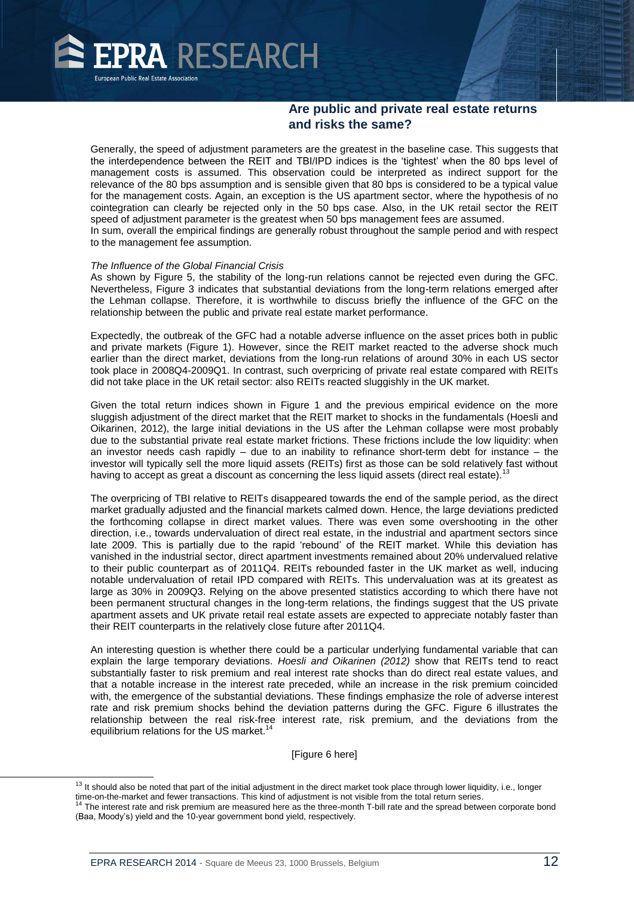

Generally, the speed of adjustment parameters are the greatest in the baseline case. This suggests that the interdependence between the REIT and TBI/IPD indices is the 'tightest' when the 80 bps level of management costs is assumed. This observation could be interpreted as indirect support for the relevance of the 80 bps assumption and is sensible given that 80 bps is considered to be a typical value for the management costs. Again, an exception is the US apartment sector, where the hypothesis of no cointegration can clearly be rejected only in the 50 bps case. Also, in the UK retail sector the REIT speed of adjustment parameter is the greatest when 50 bps management fees are assumed. In sum, overall the empirical findings are generally robust throughout the sample period and with respect to the management fee assumption.

#### *The Influence of the Global Financial Crisis*

As shown by Figure 5, the stability of the long-run relations cannot be rejected even during the GFC. Nevertheless, Figure 3 indicates that substantial deviations from the long-term relations emerged after the Lehman collapse. Therefore, it is worthwhile to discuss briefly the influence of the GFC on the relationship between the public and private real estate market performance.

Expectedly, the outbreak of the GFC had a notable adverse influence on the asset prices both in public and private markets (Figure 1). However, since the REIT market reacted to the adverse shock much earlier than the direct market, deviations from the long-run relations of around 30% in each US sector took place in 2008Q4-2009Q1. In contrast, such overpricing of private real estate compared with REITs did not take place in the UK retail sector: also REITs reacted sluggishly in the UK market.

Given the total return indices shown in Figure 1 and the previous empirical evidence on the more sluggish adjustment of the direct market that the REIT market to shocks in the fundamentals (Hoesli and Oikarinen, 2012), the large initial deviations in the US after the Lehman collapse were most probably due to the substantial private real estate market frictions. These frictions include the low liquidity: when an investor needs cash rapidly – due to an inability to refinance short-term debt for instance – the investor will typically sell the more liquid assets (REITs) first as those can be sold relatively fast without having to accept as great a discount as concerning the less liquid assets (direct real estate).

The overpricing of TBI relative to REITs disappeared towards the end of the sample period, as the direct market gradually adjusted and the financial markets calmed down. Hence, the large deviations predicted the forthcoming collapse in direct market values. There was even some overshooting in the other direction, i.e., towards undervaluation of direct real estate, in the industrial and apartment sectors since late 2009. This is partially due to the rapid 'rebound' of the REIT market. While this deviation has vanished in the industrial sector, direct apartment investments remained about 20% undervalued relative to their public counterpart as of 2011Q4. REITs rebounded faster in the UK market as well, inducing notable undervaluation of retail IPD compared with REITs. This undervaluation was at its greatest as large as 30% in 2009Q3. Relying on the above presented statistics according to which there have not been permanent structural changes in the long-term relations, the findings suggest that the US private apartment assets and UK private retail real estate assets are expected to appreciate notably faster than their REIT counterparts in the relatively close future after 2011Q4.

An interesting question is whether there could be a particular underlying fundamental variable that can explain the large temporary deviations. *Hoesli and Oikarinen (2012)* show that REITs tend to react substantially faster to risk premium and real interest rate shocks than do direct real estate values, and that a notable increase in the interest rate preceded, while an increase in the risk premium coincided with, the emergence of the substantial deviations. These findings emphasize the role of adverse interest rate and risk premium shocks behind the deviation patterns during the GFC. Figure 6 illustrates the relationship between the real risk-free interest rate, risk premium, and the deviations from the equilibrium relations for the US market.<sup>14</sup>

[Figure 6 here]

 $\overline{a}$ 

<sup>&</sup>lt;sup>13</sup> It should also be noted that part of the initial adjustment in the direct market took place through lower liquidity, i.e., longer

time-on-the-market and fewer transactions. This kind of adjustment is not visible from the total return series.<br><sup>14</sup> The interest rate and risk premium are measured here as the three-month T-bill rate and the spread betwee (Baa, Moody's) yield and the 10-year government bond yield, respectively.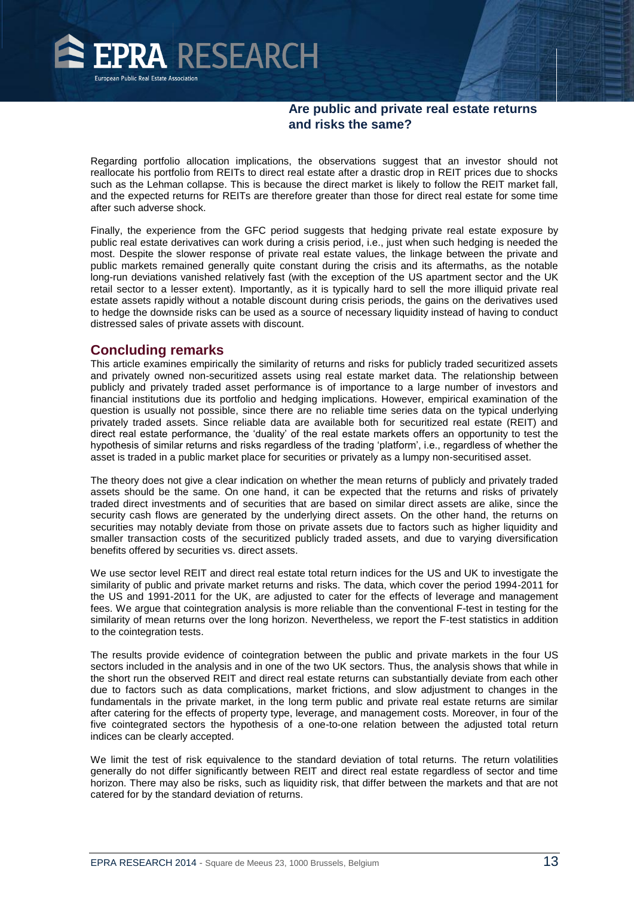

Regarding portfolio allocation implications, the observations suggest that an investor should not reallocate his portfolio from REITs to direct real estate after a drastic drop in REIT prices due to shocks such as the Lehman collapse. This is because the direct market is likely to follow the REIT market fall, and the expected returns for REITs are therefore greater than those for direct real estate for some time after such adverse shock.

Finally, the experience from the GFC period suggests that hedging private real estate exposure by public real estate derivatives can work during a crisis period, i.e., just when such hedging is needed the most. Despite the slower response of private real estate values, the linkage between the private and public markets remained generally quite constant during the crisis and its aftermaths, as the notable long-run deviations vanished relatively fast (with the exception of the US apartment sector and the UK retail sector to a lesser extent). Importantly, as it is typically hard to sell the more illiquid private real estate assets rapidly without a notable discount during crisis periods, the gains on the derivatives used to hedge the downside risks can be used as a source of necessary liquidity instead of having to conduct distressed sales of private assets with discount.

#### **Concluding remarks**

This article examines empirically the similarity of returns and risks for publicly traded securitized assets and privately owned non-securitized assets using real estate market data. The relationship between publicly and privately traded asset performance is of importance to a large number of investors and financial institutions due its portfolio and hedging implications. However, empirical examination of the question is usually not possible, since there are no reliable time series data on the typical underlying privately traded assets. Since reliable data are available both for securitized real estate (REIT) and direct real estate performance, the 'duality' of the real estate markets offers an opportunity to test the hypothesis of similar returns and risks regardless of the trading 'platform', i.e., regardless of whether the asset is traded in a public market place for securities or privately as a lumpy non-securitised asset.

The theory does not give a clear indication on whether the mean returns of publicly and privately traded assets should be the same. On one hand, it can be expected that the returns and risks of privately traded direct investments and of securities that are based on similar direct assets are alike, since the security cash flows are generated by the underlying direct assets. On the other hand, the returns on securities may notably deviate from those on private assets due to factors such as higher liquidity and smaller transaction costs of the securitized publicly traded assets, and due to varying diversification benefits offered by securities vs. direct assets.

We use sector level REIT and direct real estate total return indices for the US and UK to investigate the similarity of public and private market returns and risks. The data, which cover the period 1994-2011 for the US and 1991-2011 for the UK, are adjusted to cater for the effects of leverage and management fees. We argue that cointegration analysis is more reliable than the conventional F-test in testing for the similarity of mean returns over the long horizon. Nevertheless, we report the F-test statistics in addition to the cointegration tests.

The results provide evidence of cointegration between the public and private markets in the four US sectors included in the analysis and in one of the two UK sectors. Thus, the analysis shows that while in the short run the observed REIT and direct real estate returns can substantially deviate from each other due to factors such as data complications, market frictions, and slow adjustment to changes in the fundamentals in the private market, in the long term public and private real estate returns are similar after catering for the effects of property type, leverage, and management costs. Moreover, in four of the five cointegrated sectors the hypothesis of a one-to-one relation between the adjusted total return indices can be clearly accepted.

We limit the test of risk equivalence to the standard deviation of total returns. The return volatilities generally do not differ significantly between REIT and direct real estate regardless of sector and time horizon. There may also be risks, such as liquidity risk, that differ between the markets and that are not catered for by the standard deviation of returns.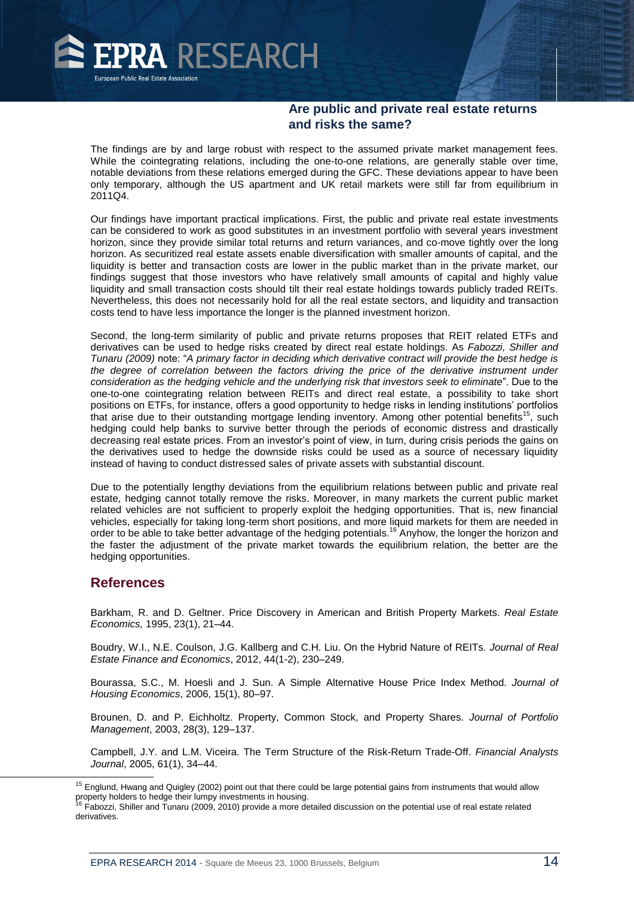

The findings are by and large robust with respect to the assumed private market management fees. While the cointegrating relations, including the one-to-one relations, are generally stable over time, notable deviations from these relations emerged during the GFC. These deviations appear to have been only temporary, although the US apartment and UK retail markets were still far from equilibrium in 2011Q4.

Our findings have important practical implications. First, the public and private real estate investments can be considered to work as good substitutes in an investment portfolio with several years investment horizon, since they provide similar total returns and return variances, and co-move tightly over the long horizon. As securitized real estate assets enable diversification with smaller amounts of capital, and the liquidity is better and transaction costs are lower in the public market than in the private market, our findings suggest that those investors who have relatively small amounts of capital and highly value liquidity and small transaction costs should tilt their real estate holdings towards publicly traded REITs. Nevertheless, this does not necessarily hold for all the real estate sectors, and liquidity and transaction costs tend to have less importance the longer is the planned investment horizon.

Second, the long-term similarity of public and private returns proposes that REIT related ETFs and derivatives can be used to hedge risks created by direct real estate holdings. As *Fabozzi, Shiller and Tunaru (2009)* note: "*A primary factor in deciding which derivative contract will provide the best hedge is the degree of correlation between the factors driving the price of the derivative instrument under consideration as the hedging vehicle and the underlying risk that investors seek to eliminate*". Due to the one-to-one cointegrating relation between REITs and direct real estate, a possibility to take short positions on ETFs, for instance, offers a good opportunity to hedge risks in lending institutions' portfolios that arise due to their outstanding mortgage lending inventory. Among other potential benefits<sup>15</sup>, such hedging could help banks to survive better through the periods of economic distress and drastically decreasing real estate prices. From an investor's point of view, in turn, during crisis periods the gains on the derivatives used to hedge the downside risks could be used as a source of necessary liquidity instead of having to conduct distressed sales of private assets with substantial discount.

Due to the potentially lengthy deviations from the equilibrium relations between public and private real estate, hedging cannot totally remove the risks. Moreover, in many markets the current public market related vehicles are not sufficient to properly exploit the hedging opportunities. That is, new financial vehicles, especially for taking long-term short positions, and more liquid markets for them are needed in order to be able to take better advantage of the hedging potentials.<sup>16</sup> Anyhow, the longer the horizon and the faster the adjustment of the private market towards the equilibrium relation, the better are the hedging opportunities.

#### **References**

 $\overline{a}$ 

Barkham, R. and D. Geltner. Price Discovery in American and British Property Markets. *Real Estate Economics,* 1995, 23(1), 21–44.

Boudry, W.I., N.E. Coulson, J.G. Kallberg and C.H. Liu. On the Hybrid Nature of REITs. *Journal of Real Estate Finance and Economics*, 2012, 44(1-2), 230–249.

Bourassa, S.C., M. Hoesli and J. Sun. A Simple Alternative House Price Index Method. *Journal of Housing Economics*, 2006, 15(1), 80–97.

Brounen, D. and P. Eichholtz. Property, Common Stock, and Property Shares. *Journal of Portfolio Management*, 2003, 28(3), 129–137.

Campbell, J.Y. and L.M. Viceira. The Term Structure of the Risk-Return Trade-Off. *Financial Analysts Journal*, 2005, 61(1), 34–44.

<sup>&</sup>lt;sup>15</sup> Englund, Hwang and Quigley (2002) point out that there could be large potential gains from instruments that would allow property holders to hedge their lumpy investments in housing.<br><sup>16</sup> Fabozzi, Shiller and Tunaru (2009, 2010) provide a more detailed discussion on the potential use of real estate related

derivatives.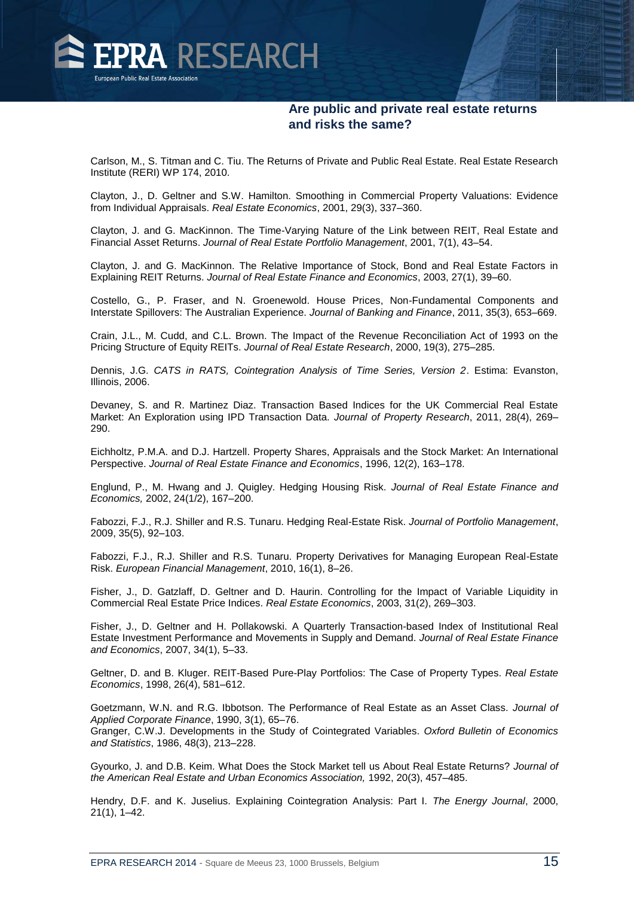

Carlson, M., S. Titman and C. Tiu. The Returns of Private and Public Real Estate. Real Estate Research Institute (RERI) WP 174, 2010.

Clayton, J., D. Geltner and S.W. Hamilton. Smoothing in Commercial Property Valuations: Evidence from Individual Appraisals. *Real Estate Economics*, 2001, 29(3), 337–360.

Clayton, J. and G. MacKinnon. The Time-Varying Nature of the Link between REIT, Real Estate and Financial Asset Returns. *Journal of Real Estate Portfolio Management*, 2001, 7(1), 43–54.

Clayton, J. and G. MacKinnon. The Relative Importance of Stock, Bond and Real Estate Factors in Explaining REIT Returns. *Journal of Real Estate Finance and Economics*, 2003, 27(1), 39–60.

Costello, G., P. Fraser, and N. Groenewold. House Prices, Non-Fundamental Components and Interstate Spillovers: The Australian Experience. *Journal of Banking and Finance*, 2011, 35(3), 653–669.

Crain, J.L., M. Cudd, and C.L. Brown. The Impact of the Revenue Reconciliation Act of 1993 on the Pricing Structure of Equity REITs. *Journal of Real Estate Research*, 2000, 19(3), 275–285.

Dennis, J.G. *CATS in RATS, Cointegration Analysis of Time Series, Version 2*. Estima: Evanston, Illinois, 2006.

Devaney, S. and R. Martinez Diaz. Transaction Based Indices for the UK Commercial Real Estate Market: An Exploration using IPD Transaction Data. *Journal of Property Research*, 2011, 28(4), 269– 290.

Eichholtz, P.M.A. and D.J. Hartzell. Property Shares, Appraisals and the Stock Market: An International Perspective. *Journal of Real Estate Finance and Economics*, 1996, 12(2), 163–178.

Englund, P., M. Hwang and J. Quigley. Hedging Housing Risk. *Journal of Real Estate Finance and Economics,* 2002, 24(1/2), 167–200.

Fabozzi, F.J., R.J. Shiller and R.S. Tunaru. Hedging Real-Estate Risk. *Journal of Portfolio Management*, 2009, 35(5), 92–103.

Fabozzi, F.J., R.J. Shiller and R.S. Tunaru. Property Derivatives for Managing European Real-Estate Risk. *European Financial Management*, 2010, 16(1), 8–26.

Fisher, J., D. Gatzlaff, D. Geltner and D. Haurin. Controlling for the Impact of Variable Liquidity in Commercial Real Estate Price Indices. *Real Estate Economics*, 2003, 31(2), 269–303.

Fisher, J., D. Geltner and H. Pollakowski. A Quarterly Transaction-based Index of Institutional Real Estate Investment Performance and Movements in Supply and Demand. *Journal of Real Estate Finance and Economics*, 2007, 34(1), 5–33.

Geltner, D. and B. Kluger. REIT-Based Pure-Play Portfolios: The Case of Property Types. *Real Estate Economics*, 1998, 26(4), 581–612.

Goetzmann, W.N. and R.G. Ibbotson. The Performance of Real Estate as an Asset Class. *Journal of Applied Corporate Finance*, 1990, 3(1), 65–76.

Granger, C.W.J. Developments in the Study of Cointegrated Variables. *Oxford Bulletin of Economics and Statistics*, 1986, 48(3), 213–228.

Gyourko, J. and D.B. Keim. What Does the Stock Market tell us About Real Estate Returns? *Journal of the American Real Estate and Urban Economics Association,* 1992, 20(3), 457–485.

Hendry, D.F. and K. Juselius. Explaining Cointegration Analysis: Part I. *The Energy Journal*, 2000, 21(1), 1–42.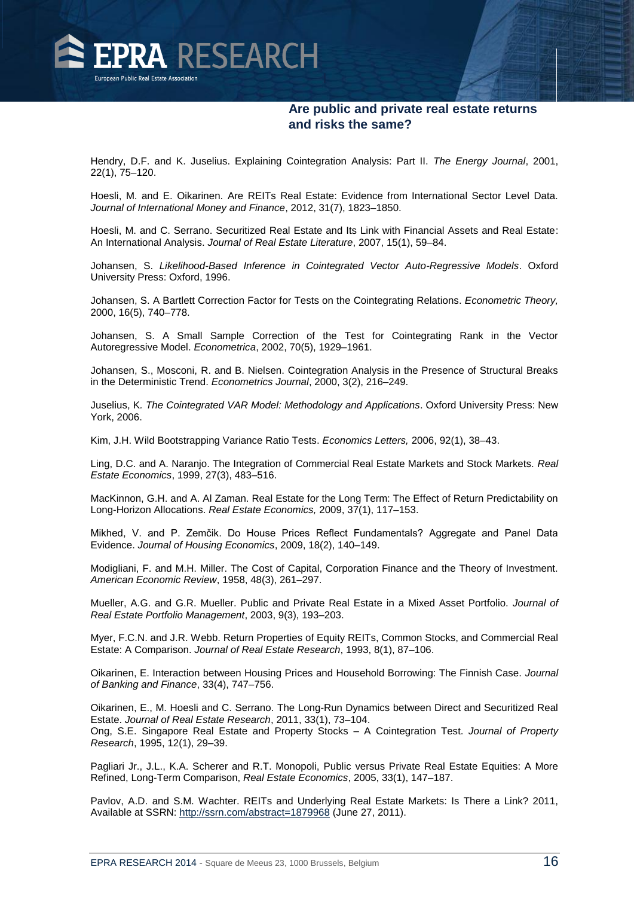

Hendry, D.F. and K. Juselius. Explaining Cointegration Analysis: Part II. *The Energy Journal*, 2001, 22(1), 75–120.

Hoesli, M. and E. Oikarinen. Are REITs Real Estate: Evidence from International Sector Level Data. *Journal of International Money and Finance*, 2012, 31(7), 1823–1850.

Hoesli, M. and C. Serrano. Securitized Real Estate and Its Link with Financial Assets and Real Estate: An International Analysis. *Journal of Real Estate Literature*, 2007, 15(1), 59–84.

Johansen, S. *Likelihood-Based Inference in Cointegrated Vector Auto-Regressive Models*. Oxford University Press: Oxford, 1996.

Johansen, S. A Bartlett Correction Factor for Tests on the Cointegrating Relations. *Econometric Theory,*  2000, 16(5), 740–778.

Johansen, S. A Small Sample Correction of the Test for Cointegrating Rank in the Vector Autoregressive Model. *Econometrica*, 2002, 70(5), 1929–1961.

Johansen, S., Mosconi, R. and B. Nielsen. Cointegration Analysis in the Presence of Structural Breaks in the Deterministic Trend. *Econometrics Journal*, 2000, 3(2), 216–249.

Juselius, K*. The Cointegrated VAR Model: Methodology and Applications*. Oxford University Press: New York, 2006.

Kim, J.H. Wild Bootstrapping Variance Ratio Tests. *Economics Letters,* 2006, 92(1), 38–43.

Ling, D.C. and A. Naranjo. The Integration of Commercial Real Estate Markets and Stock Markets. *Real Estate Economics*, 1999, 27(3), 483–516.

MacKinnon, G.H. and A. Al Zaman. Real Estate for the Long Term: The Effect of Return Predictability on Long-Horizon Allocations. *Real Estate Economics,* 2009, 37(1), 117–153.

Mikhed, V. and P. Zemčik. Do House Prices Reflect Fundamentals? Aggregate and Panel Data Evidence. *Journal of Housing Economics*, 2009, 18(2), 140–149.

Modigliani, F. and M.H. Miller. The Cost of Capital, Corporation Finance and the Theory of Investment. *American Economic Review*, 1958, 48(3), 261–297.

Mueller, A.G. and G.R. Mueller. Public and Private Real Estate in a Mixed Asset Portfolio. *Journal of Real Estate Portfolio Management*, 2003, 9(3), 193–203.

Myer, F.C.N. and J.R. Webb. Return Properties of Equity REITs, Common Stocks, and Commercial Real Estate: A Comparison. *Journal of Real Estate Research*, 1993, 8(1), 87–106.

Oikarinen, E. Interaction between Housing Prices and Household Borrowing: The Finnish Case. *Journal of Banking and Finance*, 33(4), 747–756.

Oikarinen, E., M. Hoesli and C. Serrano. The Long-Run Dynamics between Direct and Securitized Real Estate. *Journal of Real Estate Research*, 2011, 33(1), 73–104. Ong, S.E. Singapore Real Estate and Property Stocks – A Cointegration Test. *Journal of Property Research*, 1995, 12(1), 29–39.

Pagliari Jr., J.L., K.A. Scherer and R.T. Monopoli, Public versus Private Real Estate Equities: A More Refined, Long-Term Comparison, *Real Estate Economics*, 2005, 33(1), 147–187.

Pavlov, A.D. and S.M. Wachter. REITs and Underlying Real Estate Markets: Is There a Link? 2011, Available at SSRN:<http://ssrn.com/abstract=1879968> (June 27, 2011).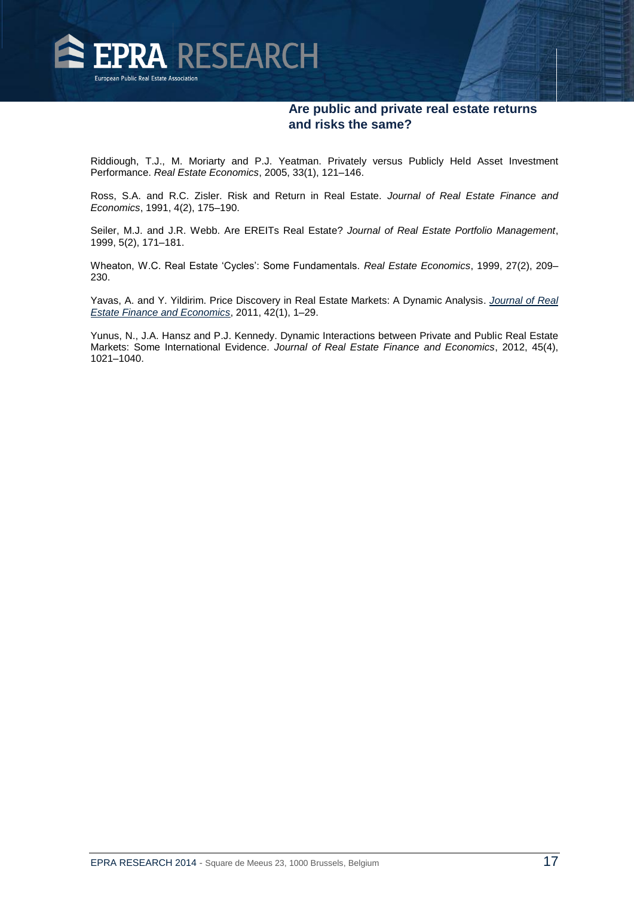

Riddiough, T.J., M. Moriarty and P.J. Yeatman. Privately versus Publicly Held Asset Investment Performance. *Real Estate Economics*, 2005, 33(1), 121–146.

Ross, S.A. and R.C. Zisler. Risk and Return in Real Estate. *Journal of Real Estate Finance and Economics*, 1991, 4(2), 175–190.

Seiler, M.J. and J.R. Webb. Are EREITs Real Estate? *Journal of Real Estate Portfolio Management*, 1999, 5(2), 171–181.

Wheaton, W.C. Real Estate 'Cycles': Some Fundamentals. *Real Estate Economics*, 1999, 27(2), 209– 230.

Yavas, A. and Y. Yildirim. Price Discovery in Real Estate Markets: A Dynamic Analysis. *[Journal of Real](http://www.springerlink.com/content/0895-5638/)  [Estate Finance and Economics](http://www.springerlink.com/content/0895-5638/)*, 2011, 42(1), 1–29.

Yunus, N., J.A. Hansz and P.J. Kennedy. Dynamic Interactions between Private and Public Real Estate Markets: Some International Evidence. *Journal of Real Estate Finance and Economics*, 2012, 45(4), 1021–1040.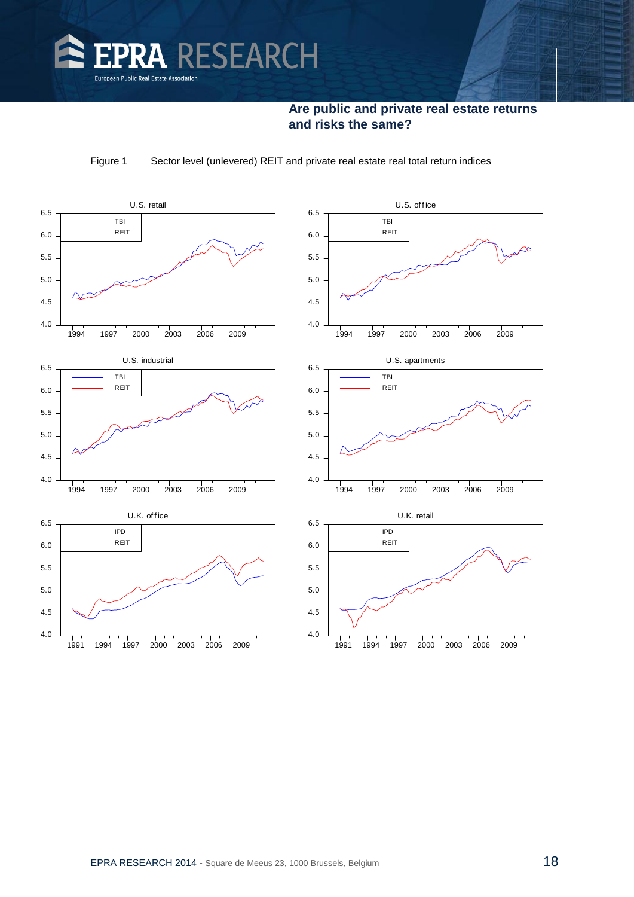

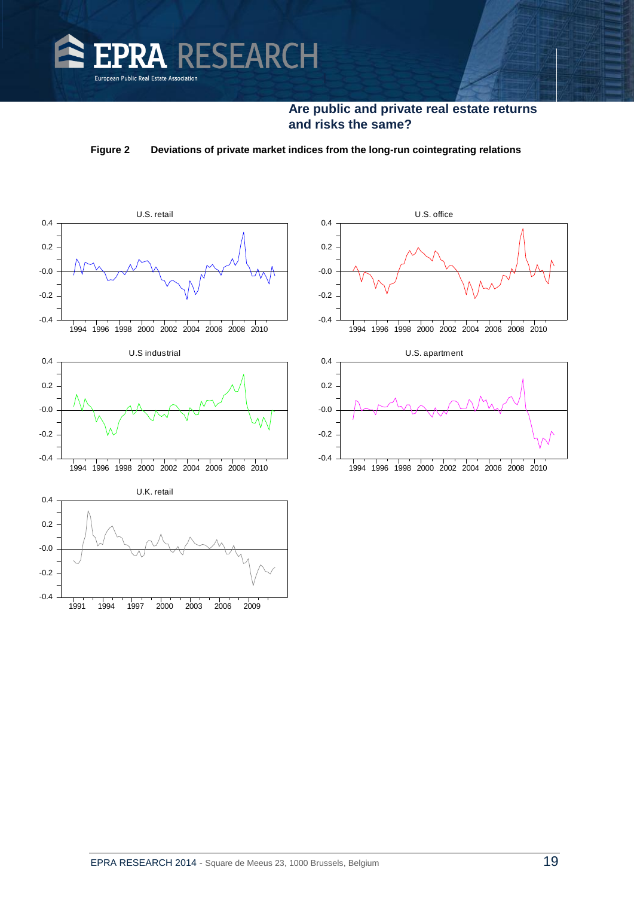

**Figure 2 Deviations of private market indices from the long-run cointegrating relations**

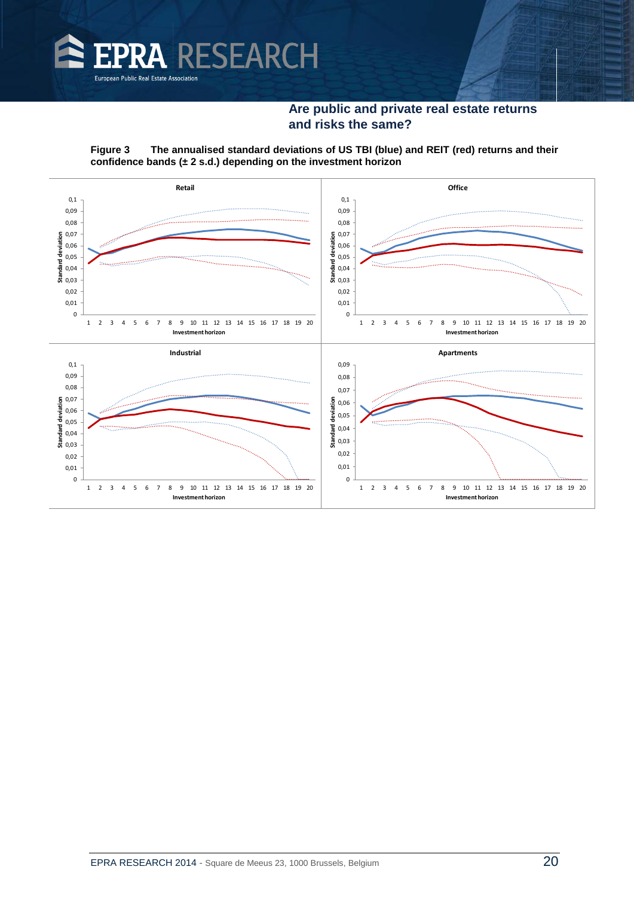

**Figure 3 The annualised standard deviations of US TBI (blue) and REIT (red) returns and their confidence bands (± 2 s.d.) depending on the investment horizon** 

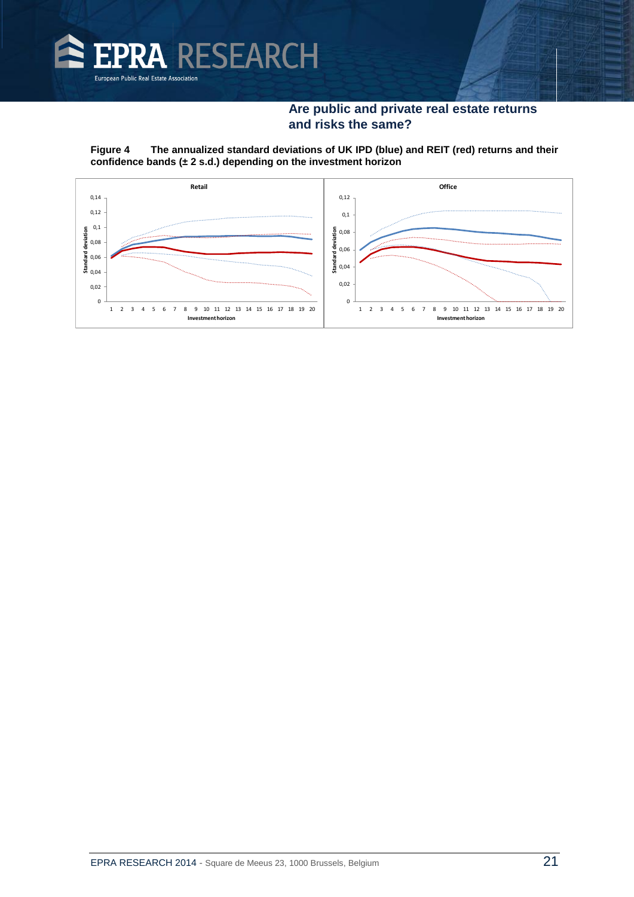

#### **Figure 4 The annualized standard deviations of UK IPD (blue) and REIT (red) returns and their confidence bands (± 2 s.d.) depending on the investment horizon**

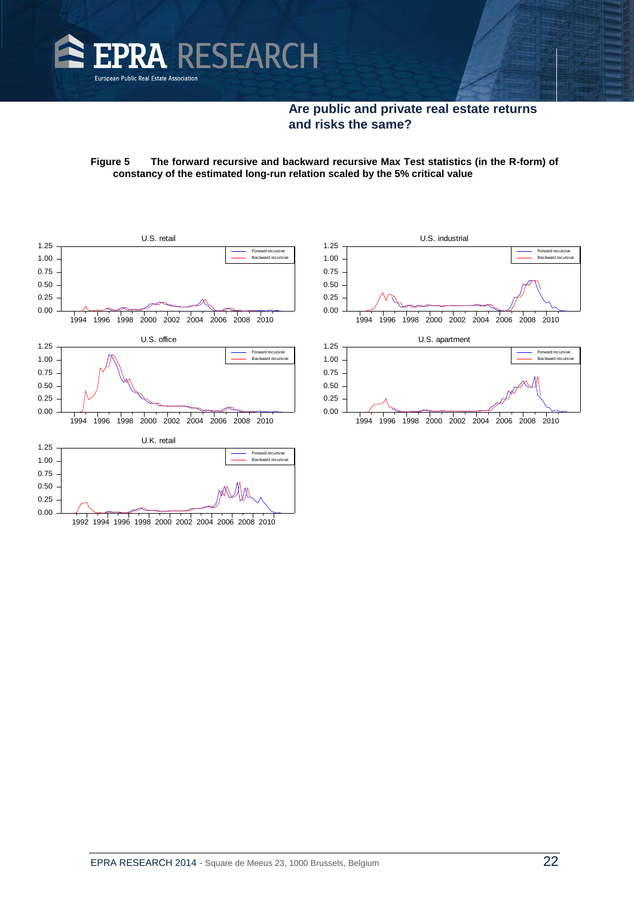

#### **Figure 5 The forward recursive and backward recursive Max Test statistics (in the R-form) of constancy of the estimated long-run relation scaled by the 5% critical value**



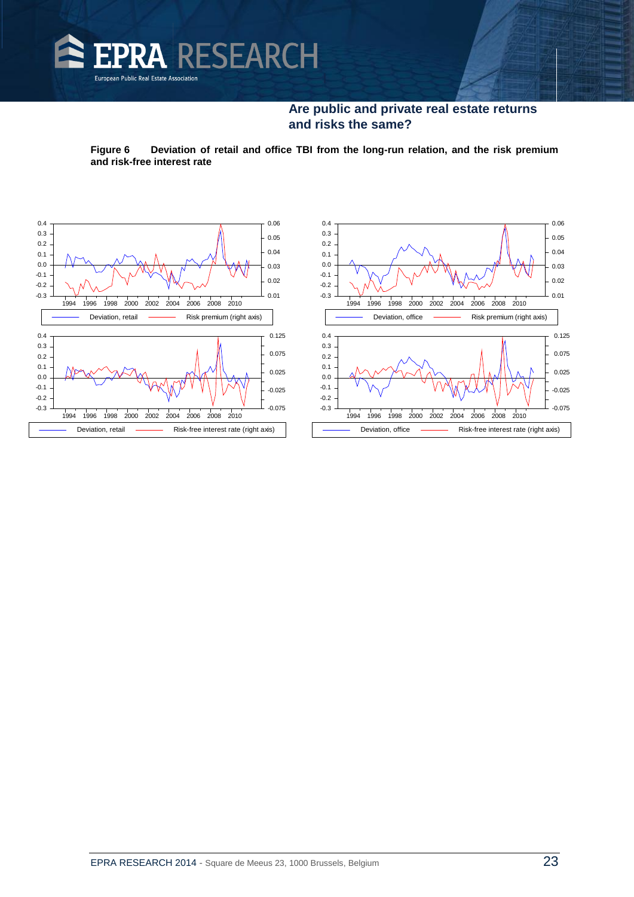

**Figure 6 Deviation of retail and office TBI from the long-run relation, and the risk premium and risk-free interest rate**



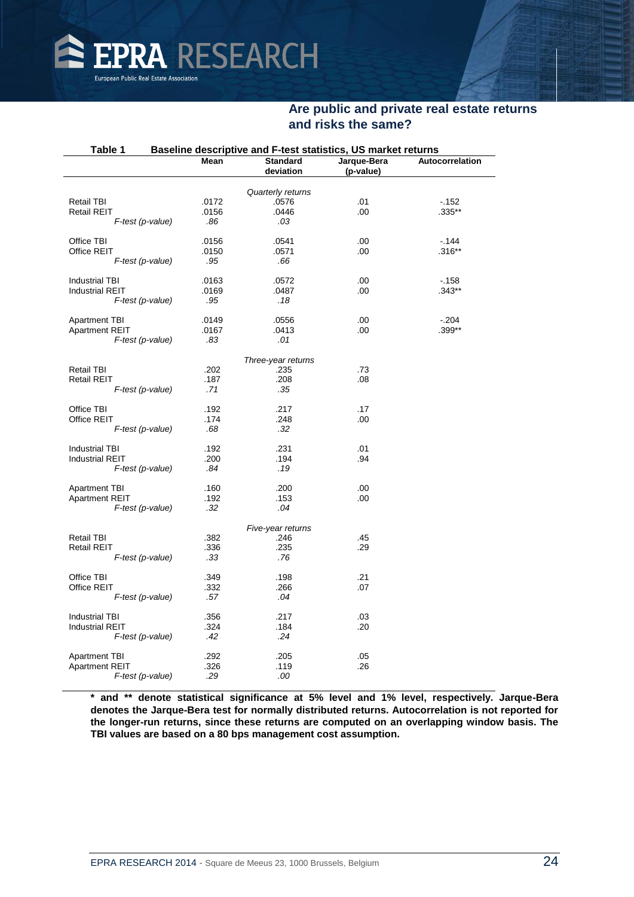

| Table 1<br>Baseline descriptive and F-test statistics, US market returns |       |                              |                          |                 |  |  |
|--------------------------------------------------------------------------|-------|------------------------------|--------------------------|-----------------|--|--|
|                                                                          | Mean  | <b>Standard</b><br>deviation | Jarque-Bera<br>(p-value) | Autocorrelation |  |  |
|                                                                          |       | Quarterly returns            |                          |                 |  |  |
| <b>Retail TBI</b>                                                        | .0172 | .0576                        | .01                      | $-152$          |  |  |
| <b>Retail REIT</b>                                                       | .0156 | .0446                        | .00                      | $.335**$        |  |  |
| $F$ -test (p-value)                                                      | .86   | .03                          |                          |                 |  |  |
|                                                                          |       |                              |                          |                 |  |  |
| Office TBI                                                               | .0156 | .0541                        | .00                      | $-144$          |  |  |
| Office REIT                                                              | .0150 | .0571                        | .00.                     | $.316**$        |  |  |
| F-test (p-value)                                                         | .95   | .66                          |                          |                 |  |  |
| <b>Industrial TBI</b>                                                    | .0163 | .0572                        | .00                      | $-158$          |  |  |
| <b>Industrial REIT</b>                                                   | .0169 | .0487                        | .00                      | $.343**$        |  |  |
| F-test (p-value)                                                         | .95   | .18                          |                          |                 |  |  |
|                                                                          |       |                              |                          |                 |  |  |
| <b>Apartment TBI</b>                                                     | .0149 | .0556                        | .00                      | $-204$          |  |  |
| <b>Apartment REIT</b>                                                    | .0167 | .0413                        | .00                      | .399**          |  |  |
| F-test (p-value)                                                         | .83   | .01                          |                          |                 |  |  |
|                                                                          |       | Three-year returns           |                          |                 |  |  |
| <b>Retail TBI</b>                                                        | .202  | .235                         | .73                      |                 |  |  |
| <b>Retail REIT</b>                                                       | .187  | .208                         | .08                      |                 |  |  |
| F-test (p-value)                                                         | .71   | .35                          |                          |                 |  |  |
| Office TBI                                                               | .192  | .217                         | .17                      |                 |  |  |
| Office REIT                                                              | .174  | .248                         | .00                      |                 |  |  |
| F-test (p-value)                                                         | .68   | .32                          |                          |                 |  |  |
| <b>Industrial TBI</b>                                                    | .192  | .231                         | .01                      |                 |  |  |
| <b>Industrial REIT</b>                                                   | .200  | .194                         | .94                      |                 |  |  |
| F-test (p-value)                                                         | .84   | .19                          |                          |                 |  |  |
|                                                                          |       |                              |                          |                 |  |  |
| <b>Apartment TBI</b>                                                     | .160  | .200                         | .00                      |                 |  |  |
| <b>Apartment REIT</b>                                                    | .192  | .153                         | .00                      |                 |  |  |
| F-test (p-value)                                                         | .32   | .04                          |                          |                 |  |  |
|                                                                          |       | Five-year returns            |                          |                 |  |  |
| <b>Retail TBI</b>                                                        | .382  | .246                         | .45                      |                 |  |  |
| <b>Retail REIT</b>                                                       | .336  | .235                         | .29                      |                 |  |  |
| F-test (p-value)                                                         | .33   | .76                          |                          |                 |  |  |
| Office TBI                                                               | .349  | .198                         | .21                      |                 |  |  |
| Office REIT                                                              | .332  | .266                         | .07                      |                 |  |  |
| F-test (p-value)                                                         | .57   | .04                          |                          |                 |  |  |
| <b>Industrial TBI</b>                                                    | .356  | .217                         | .03                      |                 |  |  |
| <b>Industrial REIT</b>                                                   | .324  | .184                         | .20                      |                 |  |  |
| F-test (p-value)                                                         | .42   | .24                          |                          |                 |  |  |
| <b>Apartment TBI</b>                                                     | .292  | .205                         | .05                      |                 |  |  |
| <b>Apartment REIT</b>                                                    | .326  | .119                         | .26                      |                 |  |  |
| F-test (p-value)                                                         | .29   | .00                          |                          |                 |  |  |
|                                                                          |       |                              |                          |                 |  |  |

**\* and \*\* denote statistical significance at 5% level and 1% level, respectively. Jarque-Bera denotes the Jarque-Bera test for normally distributed returns. Autocorrelation is not reported for the longer-run returns, since these returns are computed on an overlapping window basis. The TBI values are based on a 80 bps management cost assumption.**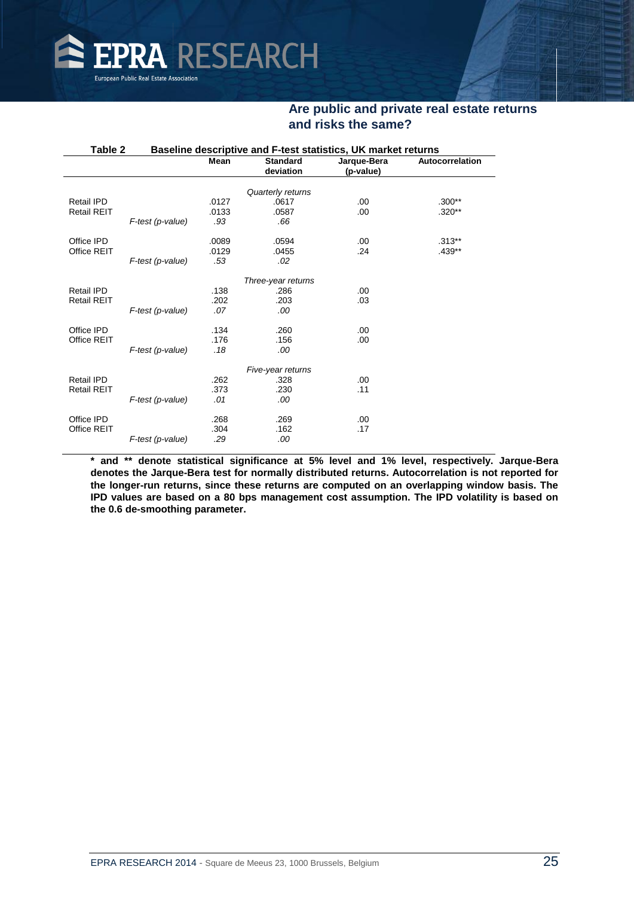

| Table 2<br>Baseline descriptive and F-test statistics, UK market returns |                  |             |                    |             |                 |
|--------------------------------------------------------------------------|------------------|-------------|--------------------|-------------|-----------------|
|                                                                          |                  | <b>Mean</b> | <b>Standard</b>    | Jarque-Bera | Autocorrelation |
|                                                                          |                  |             | deviation          | (p-value)   |                 |
|                                                                          |                  |             |                    |             |                 |
|                                                                          |                  |             | Quarterly returns  |             |                 |
| Retail IPD                                                               |                  | .0127       | .0617              | .00         | $.300**$        |
| <b>Retail REIT</b>                                                       |                  | .0133       | .0587              | .00         | $.320**$        |
|                                                                          | F-test (p-value) | .93         | .66                |             |                 |
| Office IPD                                                               |                  | .0089       | .0594              | .00         | $.313***$       |
| Office REIT                                                              |                  | .0129       | .0455              | .24         | $.439**$        |
|                                                                          | F-test (p-value) | .53         | .02                |             |                 |
|                                                                          |                  |             | Three-year returns |             |                 |
| Retail IPD                                                               |                  | .138        | .286               | .00         |                 |
| <b>Retail REIT</b>                                                       |                  | .202        | .203               | .03         |                 |
|                                                                          | F-test (p-value) | .07         | .00                |             |                 |
|                                                                          |                  |             |                    |             |                 |
| Office IPD                                                               |                  | .134        | .260               | .00         |                 |
| Office REIT                                                              |                  | .176        | .156               | .00         |                 |
|                                                                          | F-test (p-value) | .18         | .00                |             |                 |
|                                                                          |                  |             | Five-year returns  |             |                 |
| Retail IPD                                                               |                  | .262        | .328               | .00         |                 |
| <b>Retail REIT</b>                                                       |                  | .373        | .230               | .11         |                 |
|                                                                          | F-test (p-value) | .01         | .00                |             |                 |
|                                                                          |                  |             |                    |             |                 |
| Office IPD                                                               |                  | .268        | .269               | .00         |                 |
| Office REIT                                                              |                  | .304        | .162               | .17         |                 |
|                                                                          | F-test (p-value) | .29         | .00                |             |                 |
|                                                                          |                  |             |                    |             |                 |

**\* and \*\* denote statistical significance at 5% level and 1% level, respectively. Jarque-Bera denotes the Jarque-Bera test for normally distributed returns. Autocorrelation is not reported for the longer-run returns, since these returns are computed on an overlapping window basis. The IPD values are based on a 80 bps management cost assumption. The IPD volatility is based on the 0.6 de-smoothing parameter.**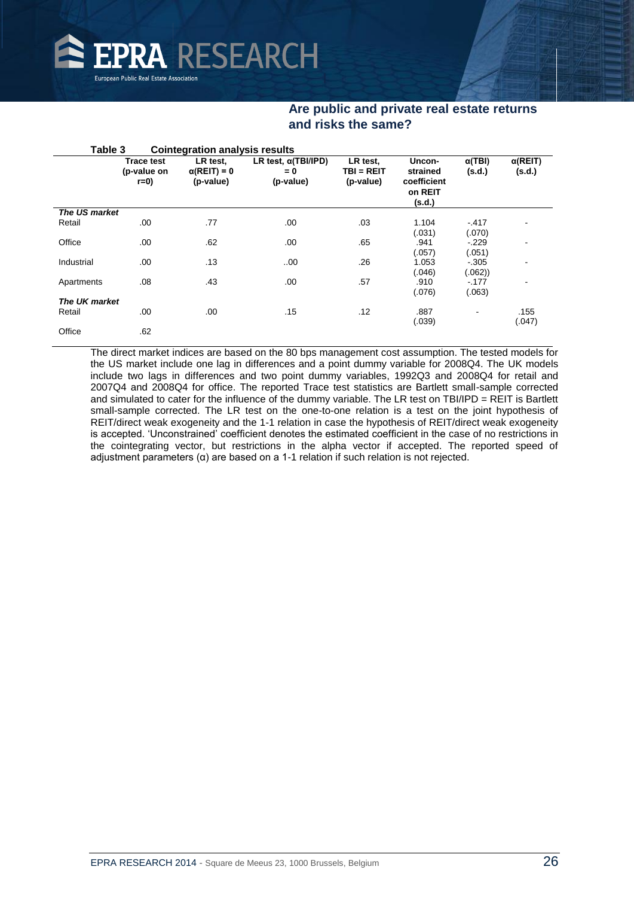

| Table 3              |                                           | <b>Cointegration analysis results</b>        |                                                   |                                       |                                                        |                         |                           |
|----------------------|-------------------------------------------|----------------------------------------------|---------------------------------------------------|---------------------------------------|--------------------------------------------------------|-------------------------|---------------------------|
|                      | <b>Trace test</b><br>(p-value on<br>$r=0$ | LR test,<br>$\alpha$ (REIT) = 0<br>(p-value) | LR test, $\alpha$ (TBI/IPD)<br>$= 0$<br>(p-value) | LR test,<br>$TBI = REIT$<br>(p-value) | Uncon-<br>strained<br>coefficient<br>on REIT<br>(s.d.) | $\alpha(TBI)$<br>(s.d.) | $\alpha$ (REIT)<br>(s.d.) |
| The US market        |                                           |                                              |                                                   |                                       |                                                        |                         |                           |
| Retail               | .00                                       | .77                                          | .00                                               | .03                                   | 1.104                                                  | $-417$                  |                           |
|                      |                                           |                                              |                                                   |                                       | (.031)                                                 | (.070)                  |                           |
| Office               | .00                                       | .62                                          | .00                                               | .65                                   | .941                                                   | $-.229$                 |                           |
|                      |                                           |                                              |                                                   |                                       | (057)                                                  | (.051)                  |                           |
| Industrial           | .00                                       | .13                                          | .00.                                              | .26                                   | 1.053                                                  | $-.305$                 |                           |
|                      |                                           |                                              |                                                   |                                       | (.046)                                                 | (.062))                 |                           |
| Apartments           | .08                                       | .43                                          | .00                                               | .57                                   | .910                                                   | $-177$                  |                           |
|                      |                                           |                                              |                                                   |                                       | (.076)                                                 | (.063)                  |                           |
| <b>The UK market</b> |                                           |                                              |                                                   |                                       |                                                        |                         |                           |
| Retail               | .00                                       | .00                                          | .15                                               | .12                                   | .887                                                   | $\blacksquare$          | .155                      |
|                      |                                           |                                              |                                                   |                                       | (.039)                                                 |                         | (.047)                    |
| Office               | .62                                       |                                              |                                                   |                                       |                                                        |                         |                           |

The direct market indices are based on the 80 bps management cost assumption. The tested models for the US market include one lag in differences and a point dummy variable for 2008Q4. The UK models include two lags in differences and two point dummy variables, 1992Q3 and 2008Q4 for retail and 2007Q4 and 2008Q4 for office. The reported Trace test statistics are Bartlett small-sample corrected and simulated to cater for the influence of the dummy variable. The LR test on TBI/IPD = REIT is Bartlett small-sample corrected. The LR test on the one-to-one relation is a test on the joint hypothesis of REIT/direct weak exogeneity and the 1-1 relation in case the hypothesis of REIT/direct weak exogeneity is accepted. 'Unconstrained' coefficient denotes the estimated coefficient in the case of no restrictions in the cointegrating vector, but restrictions in the alpha vector if accepted. The reported speed of adjustment parameters (α) are based on a 1-1 relation if such relation is not rejected.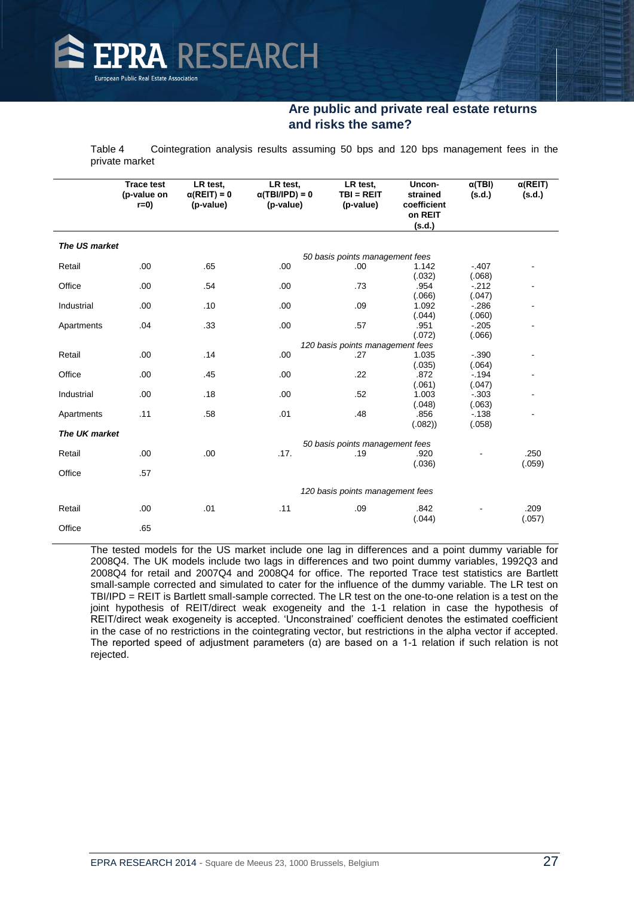

Table 4 Cointegration analysis results assuming 50 bps and 120 bps management fees in the private market

|               | <b>Trace test</b><br>(p-value on<br>$r=0$ | LR test,<br>$\alpha$ (REIT) = 0<br>(p-value) | LR test,<br>$\alpha$ (TBI/IPD) = 0<br>(p-value) | LR test.<br>$TBI = REIT$<br>(p-value) | Uncon-<br>strained<br>coefficient<br>on REIT<br>(s.d.) | $\alpha$ (TBI)<br>(s.d.) | $\alpha$ (REIT)<br>(s.d.) |
|---------------|-------------------------------------------|----------------------------------------------|-------------------------------------------------|---------------------------------------|--------------------------------------------------------|--------------------------|---------------------------|
| The US market |                                           |                                              |                                                 |                                       |                                                        |                          |                           |
|               |                                           |                                              |                                                 | 50 basis points management fees       |                                                        |                          |                           |
| Retail        | .00                                       | .65                                          | .00                                             | .00                                   | 1.142                                                  | $-.407$                  |                           |
|               |                                           |                                              |                                                 |                                       | (.032)                                                 | (.068)                   |                           |
| Office        | .00                                       | .54                                          | .00                                             | .73                                   | .954                                                   | $-212$                   |                           |
|               |                                           |                                              |                                                 |                                       | (.066)                                                 | (.047)                   |                           |
| Industrial    | .00                                       | .10                                          | .00                                             | .09                                   | 1.092                                                  | $-286$                   |                           |
|               |                                           |                                              |                                                 |                                       | (.044)                                                 | (.060)                   |                           |
| Apartments    | .04                                       | .33                                          | .00                                             | .57                                   | .951                                                   | $-.205$                  |                           |
|               |                                           |                                              |                                                 |                                       | (.072)                                                 | (.066)                   |                           |
|               |                                           |                                              |                                                 | 120 basis points management fees      |                                                        |                          |                           |
| Retail        | .00                                       | .14                                          | .00                                             | .27                                   | 1.035                                                  | $-.390$                  |                           |
|               |                                           |                                              |                                                 |                                       | (.035)                                                 | (.064)                   |                           |
| Office        | .00                                       | .45                                          | .00                                             | .22                                   | .872<br>(.061)                                         | $-.194$                  |                           |
| Industrial    | .00                                       | .18                                          | .00                                             | .52                                   | 1.003                                                  | (.047)<br>$-0.303$       |                           |
|               |                                           |                                              |                                                 |                                       | (.048)                                                 | (.063)                   |                           |
| Apartments    | .11                                       | .58                                          | .01                                             | .48                                   | .856                                                   | $-138$                   |                           |
|               |                                           |                                              |                                                 |                                       | (.082))                                                | (.058)                   |                           |
| The UK market |                                           |                                              |                                                 |                                       |                                                        |                          |                           |
|               |                                           |                                              |                                                 | 50 basis points management fees       |                                                        |                          |                           |
| Retail        | .00                                       | .00                                          | .17.                                            | .19                                   | .920                                                   |                          | .250                      |
|               |                                           |                                              |                                                 |                                       | (.036)                                                 |                          | (.059)                    |
| Office        | .57                                       |                                              |                                                 |                                       |                                                        |                          |                           |
|               |                                           |                                              |                                                 | 120 basis points management fees      |                                                        |                          |                           |
|               |                                           |                                              |                                                 |                                       |                                                        |                          |                           |
| Retail        | .00                                       | .01                                          | .11                                             | .09                                   | .842                                                   |                          | .209                      |
|               |                                           |                                              |                                                 |                                       | (.044)                                                 |                          | (.057)                    |
| Office        | .65                                       |                                              |                                                 |                                       |                                                        |                          |                           |

The tested models for the US market include one lag in differences and a point dummy variable for 2008Q4. The UK models include two lags in differences and two point dummy variables, 1992Q3 and 2008Q4 for retail and 2007Q4 and 2008Q4 for office. The reported Trace test statistics are Bartlett small-sample corrected and simulated to cater for the influence of the dummy variable. The LR test on TBI/IPD = REIT is Bartlett small-sample corrected. The LR test on the one-to-one relation is a test on the joint hypothesis of REIT/direct weak exogeneity and the 1-1 relation in case the hypothesis of REIT/direct weak exogeneity is accepted. 'Unconstrained' coefficient denotes the estimated coefficient in the case of no restrictions in the cointegrating vector, but restrictions in the alpha vector if accepted. The reported speed of adjustment parameters  $(\alpha)$  are based on a 1-1 relation if such relation is not rejected.